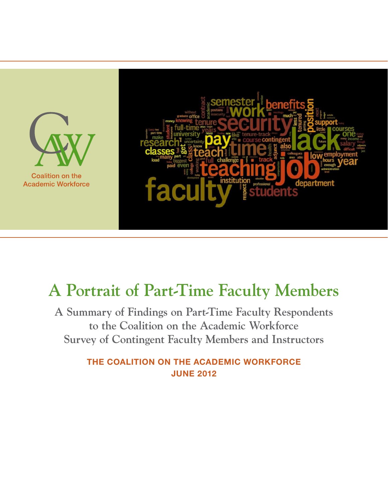

**Coalition on the Academic Workforce** 



# **A Portrait of Part-Time Faculty Members**

**A Summary of Findings on Part-Time Faculty Respondents to the Coalition on the Academic Workforce Survey of Contingent Faculty Members and Instructors**

> THE COALITION ON THE ACADEMIC WORKFORCE JUNE 2012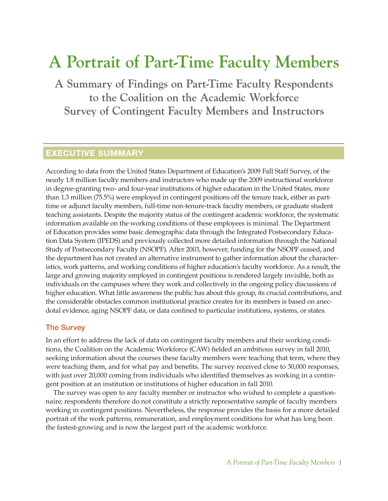# **A Portrait of Part-Time Faculty Members**

**A Summary of Findings on Part-Time Faculty Respondents to the Coalition on the Academic Workforce Survey of Contingent Faculty Members and Instructors**

### EXECUTIVE SUMMARY

According to data from the United States Department of Education's 2009 Fall Staff Survey, of the nearly 1.8 million faculty members and instructors who made up the 2009 instructional workforce in degree-granting two- and four-year institutions of higher education in the United States, more than 1.3 million (75.5%) were employed in contingent positions off the tenure track, either as parttime or adjunct faculty members, full-time non-tenure-track faculty members, or graduate student teaching assistants. Despite the majority status of the contingent academic workforce, the systematic information available on the working conditions of these employees is minimal. The Department of Education provides some basic demographic data through the Integrated Postsecondary Education Data System (IPEDS) and previously collected more detailed information through the National Study of Postsecondary Faculty (NSOPF). After 2003, however, funding for the NSOPF ceased, and the department has not created an alternative instrument to gather information about the characteristics, work patterns, and working conditions of higher education's faculty workforce. As a result, the large and growing majority employed in contingent positions is rendered largely invisible, both as individuals on the campuses where they work and collectively in the ongoing policy discussions of higher education. What little awareness the public has about this group, its crucial contributions, and the considerable obstacles common institutional practice creates for its members is based on anecdotal evidence, aging NSOPF data, or data confined to particular institutions, systems, or states.

### The Survey

In an effort to address the lack of data on contingent faculty members and their working conditions, the Coalition on the Academic Workforce (CAW) fielded an ambitious survey in fall 2010, seeking information about the courses these faculty members were teaching that term, where they were teaching them, and for what pay and benefits. The survey received close to 30,000 responses, with just over 20,000 coming from individuals who identified themselves as working in a contingent position at an institution or institutions of higher education in fall 2010.

The survey was open to any faculty member or instructor who wished to complete a questionnaire; respondents therefore do not constitute a strictly representative sample of faculty members working in contingent positions. Nevertheless, the response provides the basis for a more detailed portrait of the work patterns, remuneration, and employment conditions for what has long been the fastest-growing and is now the largest part of the academic workforce.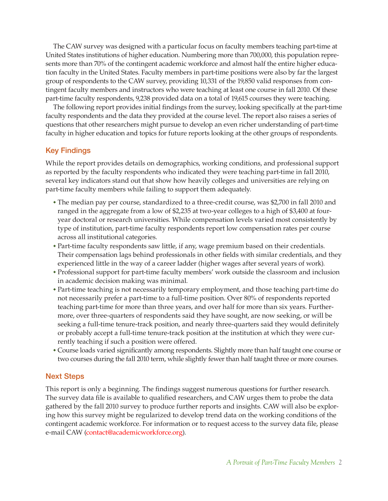The CAW survey was designed with a particular focus on faculty members teaching part-time at United States institutions of higher education. Numbering more than 700,000, this population represents more than 70% of the contingent academic workforce and almost half the entire higher education faculty in the United States. Faculty members in part-time positions were also by far the largest group of respondents to the CAW survey, providing 10,331 of the 19,850 valid responses from contingent faculty members and instructors who were teaching at least one course in fall 2010. Of these part-time faculty respondents, 9,238 provided data on a total of 19,615 courses they were teaching.

The following report provides initial findings from the survey, looking specifically at the part-time faculty respondents and the data they provided at the course level. The report also raises a series of questions that other researchers might pursue to develop an even richer understanding of part-time faculty in higher education and topics for future reports looking at the other groups of respondents.

### Key Findings

While the report provides details on demographics, working conditions, and professional support as reported by the faculty respondents who indicated they were teaching part-time in fall 2010, several key indicators stand out that show how heavily colleges and universities are relying on part-time faculty members while failing to support them adequately.

- ◆ The median pay per course, standardized to a three-credit course, was \$2,700 in fall 2010 and ranged in the aggregate from a low of \$2,235 at two-year colleges to a high of \$3,400 at fouryear doctoral or research universities. While compensation levels varied most consistently by type of institution, part-time faculty respondents report low compensation rates per course across all institutional categories.
- ◆ Part-time faculty respondents saw little, if any, wage premium based on their credentials. Their compensation lags behind professionals in other fields with similar credentials, and they experienced little in the way of a career ladder (higher wages after several years of work).
- ◆ Professional support for part-time faculty members' work outside the classroom and inclusion in academic decision making was minimal.
- ◆ Part-time teaching is not necessarily temporary employment, and those teaching part-time do not necessarily prefer a part-time to a full-time position. Over 80% of respondents reported teaching part-time for more than three years, and over half for more than six years. Furthermore, over three-quarters of respondents said they have sought, are now seeking, or will be seeking a full-time tenure-track position, and nearly three-quarters said they would definitely or probably accept a full-time tenure-track position at the institution at which they were currently teaching if such a position were offered.
- ◆ Course loads varied significantly among respondents. Slightly more than half taught one course or two courses during the fall 2010 term, while slightly fewer than half taught three or more courses.

### Next Steps

This report is only a beginning. The findings suggest numerous questions for further research. The survey data file is available to qualified researchers, and CAW urges them to probe the data gathered by the fall 2010 survey to produce further reports and insights. CAW will also be exploring how this survey might be regularized to develop trend data on the working conditions of the contingent academic workforce. For information or to request access to the survey data file, please e-mail CAW [\(contact@academicworkforce.org\)](mailto:contact%40academicworkforce.org?subject=).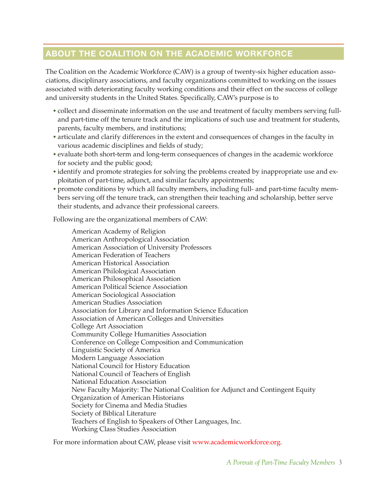### ABOUT THE COALITION ON THE ACADEMIC WORKFORCE

The Coalition on the Academic Workforce (CAW) is a group of twenty-six higher education associations, disciplinary associations, and faculty organizations committed to working on the issues associated with deteriorating faculty working conditions and their effect on the success of college and university students in the United States. Specifically, CAW's purpose is to

- ◆ collect and disseminate information on the use and treatment of faculty members serving fulland part-time off the tenure track and the implications of such use and treatment for students, parents, faculty members, and institutions;
- ◆ articulate and clarify differences in the extent and consequences of changes in the faculty in various academic disciplines and fields of study;
- ◆ evaluate both short-term and long-term consequences of changes in the academic workforce for society and the public good;
- ◆ identify and promote strategies for solving the problems created by inappropriate use and exploitation of part-time, adjunct, and similar faculty appointments;
- ◆ promote conditions by which all faculty members, including full- and part-time faculty members serving off the tenure track, can strengthen their teaching and scholarship, better serve their students, and advance their professional careers.

Following are the organizational members of CAW:

American Academy of Religion American Anthropological Association American Association of University Professors American Federation of Teachers American Historical Association American Philological Association American Philosophical Association American Political Science Association American Sociological Association American Studies Association Association for Library and Information Science Education Association of American Colleges and Universities College Art Association Community College Humanities Association Conference on College Composition and Communication Linguistic Society of America Modern Language Association National Council for History Education National Council of Teachers of English National Education Association New Faculty Majority: The National Coalition for Adjunct and Contingent Equity Organization of American Historians Society for Cinema and Media Studies Society of Biblical Literature Teachers of English to Speakers of Other Languages, Inc. Working Class Studies Association

For more information about CAW, please visit [www.academicworkforce.org](http://www.academicworkforce.org).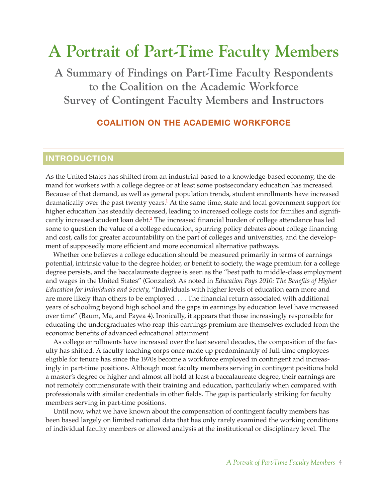## **A Portrait of Part-Time Faculty Members**

**A Summary of Findings on Part-Time Faculty Respondents to the Coalition on the Academic Workforce Survey of Contingent Faculty Members and Instructors**

### COALITION ON THE ACADEMIC WORKFORCE

### INTRODUCTION

<span id="page-4-0"></span>As the United States has shifted from an industrial-based to a knowledge-based economy, the demand for workers with a college degree or at least some postsecondary education has increased. Because of that demand, as well as general population trends, student enrollments have increased dramatically over the past twenty years.<sup>1</sup> At the same time, state and local government support for higher education has steadily decreased, leading to increased college costs for families and signifi-cantly increased student loan debt.<sup>[2](#page-15-1)</sup> The increased financial burden of college attendance has led some to question the value of a college education, spurring policy debates about college financing and cost, calls for greater accountability on the part of colleges and universities, and the development of supposedly more efficient and more economical alternative pathways.

<span id="page-4-1"></span>Whether one believes a college education should be measured primarily in terms of earnings potential, intrinsic value to the degree holder, or benefit to society, the wage premium for a college degree persists, and the baccalaureate degree is seen as the "best path to middle-class employment and wages in the United States" (Gonzalez). As noted in *Education Pays 2010: The Benefits of Higher Education for Individuals and Society*, "Individuals with higher levels of education earn more and are more likely than others to be employed. . . . The financial return associated with additional years of schooling beyond high school and the gaps in earnings by education level have increased over time" (Baum, Ma, and Payea 4). Ironically, it appears that those increasingly responsible for educating the undergraduates who reap this earnings premium are themselves excluded from the economic benefits of advanced educational attainment.

As college enrollments have increased over the last several decades, the composition of the faculty has shifted. A faculty teaching corps once made up predominantly of full-time employees eligible for tenure has since the 1970s become a workforce employed in contingent and increasingly in part-time positions. Although most faculty members serving in contingent positions hold a master's degree or higher and almost all hold at least a baccalaureate degree, their earnings are not remotely commensurate with their training and education, particularly when compared with professionals with similar credentials in other fields. The gap is particularly striking for faculty members serving in part-time positions.

Until now, what we have known about the compensation of contingent faculty members has been based largely on limited national data that has only rarely examined the working conditions of individual faculty members or allowed analysis at the institutional or disciplinary level. The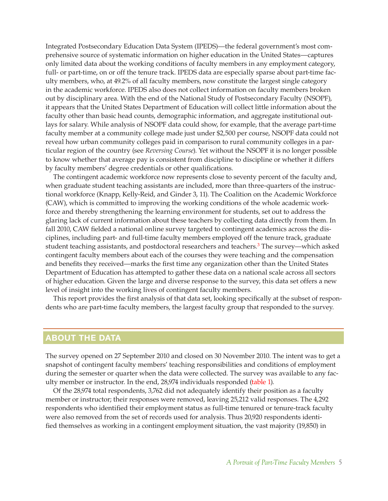Integrated Postsecondary Education Data System (IPEDS)—the federal government's most comprehensive source of systematic information on higher education in the United States—captures only limited data about the working conditions of faculty members in any employment category, full- or part-time, on or off the tenure track. IPEDS data are especially sparse about part-time faculty members, who, at 49.2% of all faculty members, now constitute the largest single category in the academic workforce. IPEDS also does not collect information on faculty members broken out by disciplinary area. With the end of the National Study of Postsecondary Faculty (NSOPF), it appears that the United States Department of Education will collect little information about the faculty other than basic head counts, demographic information, and aggregate institutional outlays for salary. While analysis of NSOPF data could show, for example, that the average part-time faculty member at a community college made just under \$2,500 per course, NSOPF data could not reveal how urban community colleges paid in comparison to rural community colleges in a particular region of the country (see *Reversing Course*). Yet without the NSOPF it is no longer possible to know whether that average pay is consistent from discipline to discipline or whether it differs by faculty members' degree credentials or other qualifications.

The contingent academic workforce now represents close to seventy percent of the faculty and, when graduate student teaching assistants are included, more than three-quarters of the instructional workforce (Knapp, Kelly-Reid, and Ginder 3, 11). The Coalition on the Academic Workforce (CAW), which is committed to improving the working conditions of the whole academic workforce and thereby strengthening the learning environment for students, set out to address the glaring lack of current information about these teachers by collecting data directly from them. In fall 2010, CAW fielded a national online survey targeted to contingent academics across the disciplines, including part- and full-time faculty members employed off the tenure track, graduate student teaching assistants, and postdoctoral researchers and teachers.<sup>3</sup> The survey—which asked contingent faculty members about each of the courses they were teaching and the compensation and benefits they received—marks the first time any organization other than the United States Department of Education has attempted to gather these data on a national scale across all sectors of higher education. Given the large and diverse response to the survey, this data set offers a new level of insight into the working lives of contingent faculty members.

<span id="page-5-0"></span>This report provides the first analysis of that data set, looking specifically at the subset of respondents who are part-time faculty members, the largest faculty group that responded to the survey.

### ABOUT THE DATA

The survey opened on 27 September 2010 and closed on 30 November 2010. The intent was to get a snapshot of contingent faculty members' teaching responsibilities and conditions of employment during the semester or quarter when the data were collected. The survey was available to any faculty member or instructor. In the end, 28,974 individuals responded [\(table 1](#page-18-0)).

Of the 28,974 total respondents, 3,762 did not adequately identify their position as a faculty member or instructor; their responses were removed, leaving 25,212 valid responses. The 4,292 respondents who identified their employment status as full-time tenured or tenure-track faculty were also removed from the set of records used for analysis. Thus 20,920 respondents identified themselves as working in a contingent employment situation, the vast majority (19,850) in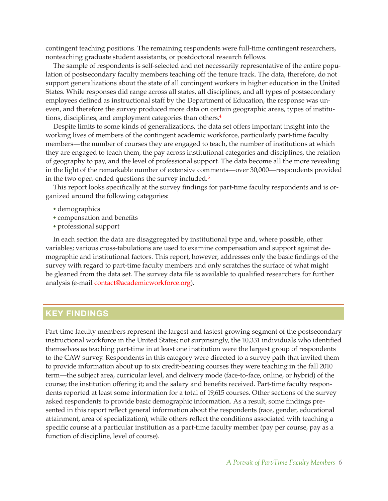contingent teaching positions. The remaining respondents were full-time contingent researchers, nonteaching graduate student assistants, or postdoctoral research fellows.

The sample of respondents is self-selected and not necessarily representative of the entire population of postsecondary faculty members teaching off the tenure track. The data, therefore, do not support generalizations about the state of all contingent workers in higher education in the United States. While responses did range across all states, all disciplines, and all types of postsecondary employees defined as instructional staff by the Department of Education, the response was uneven, and therefore the survey produced more data on certain geographic areas, types of institutions, disciplines, and employment categories than others[.4](#page-15-3)

<span id="page-6-0"></span>Despite limits to some kinds of generalizations, the data set offers important insight into the working lives of members of the contingent academic workforce, particularly part-time faculty members—the number of courses they are engaged to teach, the number of institutions at which they are engaged to teach them, the pay across institutional categories and disciplines, the relation of geography to pay, and the level of professional support. The data become all the more revealing in the light of the remarkable number of extensive comments—over 30,000—respondents provided in the two open-ended questions the survey included.<sup>[5](#page-16-0)</sup>

<span id="page-6-1"></span>This report looks specifically at the survey findings for part-time faculty respondents and is organized around the following categories:

- ◆ demographics
- ◆ compensation and benefits
- ◆ professional support

In each section the data are disaggregated by institutional type and, where possible, other variables; various cross-tabulations are used to examine compensation and support against demographic and institutional factors. This report, however, addresses only the basic findings of the survey with regard to part-time faculty members and only scratches the surface of what might be gleaned from the data set. The survey data file is available to qualified researchers for further analysis (e-mail [contact@academicworkforce.org\)](mailto:contact%40academicworkforce.org?subject=).

### KEY FINDINGS

Part-time faculty members represent the largest and fastest-growing segment of the postsecondary instructional workforce in the United States; not surprisingly, the 10,331 individuals who identified themselves as teaching part-time in at least one institution were the largest group of respondents to the CAW survey. Respondents in this category were directed to a survey path that invited them to provide information about up to six credit-bearing courses they were teaching in the fall 2010 term—the subject area, curricular level, and delivery mode (face-to-face, online, or hybrid) of the course; the institution offering it; and the salary and benefits received. Part-time faculty respondents reported at least some information for a total of 19,615 courses. Other sections of the survey asked respondents to provide basic demographic information. As a result, some findings presented in this report reflect general information about the respondents (race, gender, educational attainment, area of specialization), while others reflect the conditions associated with teaching a specific course at a particular institution as a part-time faculty member (pay per course, pay as a function of discipline, level of course).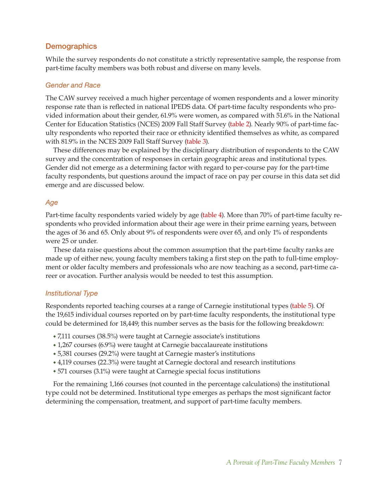### **Demographics**

While the survey respondents do not constitute a strictly representative sample, the response from part-time faculty members was both robust and diverse on many levels.

### *Gender and Race*

The CAW survey received a much higher percentage of women respondents and a lower minority response rate than is reflected in national IPEDS data. Of part-time faculty respondents who provided information about their gender, 61.9% were women, as compared with 51.6% in the National Center for Education Statistics (NCES) 2009 Fall Staff Survey [\(table 2](#page-18-0)). Nearly 90% of part-time faculty respondents who reported their race or ethnicity identified themselves as white, as compared with 81.9% in the NCES 2009 Fall Staff Survey [\(table 3\)](#page-19-0).

These differences may be explained by the disciplinary distribution of respondents to the CAW survey and the concentration of responses in certain geographic areas and institutional types. Gender did not emerge as a determining factor with regard to per-course pay for the part-time faculty respondents, but questions around the impact of race on pay per course in this data set did emerge and are discussed below.

### *Age*

Part-time faculty respondents varied widely by age [\(table 4\)](#page-19-0). More than 70% of part-time faculty respondents who provided information about their age were in their prime earning years, between the ages of 36 and 65. Only about 9% of respondents were over 65, and only 1% of respondents were 25 or under.

These data raise questions about the common assumption that the part-time faculty ranks are made up of either new, young faculty members taking a first step on the path to full-time employment or older faculty members and professionals who are now teaching as a second, part-time career or avocation. Further analysis would be needed to test this assumption.

### *Institutional Type*

Respondents reported teaching courses at a range of Carnegie institutional types [\(table 5](#page-20-0)). Of the 19,615 individual courses reported on by part-time faculty respondents, the institutional type could be determined for 18,449; this number serves as the basis for the following breakdown:

- ◆ 7,111 courses (38.5%) were taught at Carnegie associate's institutions
- ◆ 1,267 courses (6.9%) were taught at Carnegie baccalaureate institutions
- ◆ 5,381 courses (29.2%) were taught at Carnegie master's institutions
- ◆ 4,119 courses (22.3%) were taught at Carnegie doctoral and research institutions
- ◆ 571 courses (3.1%) were taught at Carnegie special focus institutions

For the remaining 1,166 courses (not counted in the percentage calculations) the institutional type could not be determined. Institutional type emerges as perhaps the most significant factor determining the compensation, treatment, and support of part-time faculty members.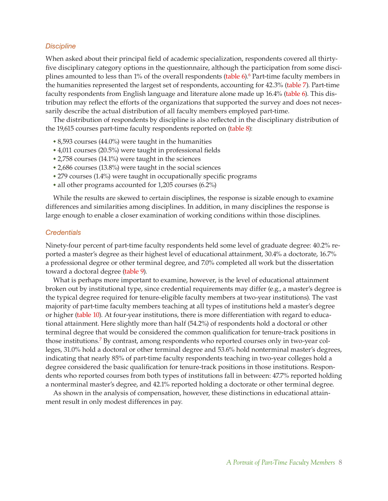### *Discipline*

<span id="page-8-0"></span>When asked about their principal field of academic specialization, respondents covered all thirtyfive disciplinary category options in the questionnaire, although the participation from some disci-plines amounted to less than 1% of the overall respondents [\(table 6](#page-21-0)).<sup>6</sup> Part-time faculty members in the humanities represented the largest set of respondents, accounting for 42.3% [\(table 7](#page-22-0)). Part-time faculty respondents from English language and literature alone made up 16.4% [\(table 6](#page-21-0)). This distribution may reflect the efforts of the organizations that supported the survey and does not necessarily describe the actual distribution of all faculty members employed part-time.

The distribution of respondents by discipline is also reflected in the disciplinary distribution of the 19,615 courses part-time faculty respondents reported on [\(table 8\)](#page-22-0):

- $\cdot$  8,593 courses (44.0%) were taught in the humanities
- ◆ 4,011 courses (20.5%) were taught in professional fields
- ◆ 2,758 courses (14.1%) were taught in the sciences
- ◆ 2,686 courses (13.8%) were taught in the social sciences
- ◆ 279 courses (1.4%) were taught in occupationally specific programs
- ◆ all other programs accounted for 1,205 courses (6.2%)

While the results are skewed to certain disciplines, the response is sizable enough to examine differences and similarities among disciplines. In addition, in many disciplines the response is large enough to enable a closer examination of working conditions within those disciplines.

### *Credentials*

Ninety-four percent of part-time faculty respondents held some level of graduate degree: 40.2% reported a master's degree as their highest level of educational attainment, 30.4% a doctorate, 16.7% a professional degree or other terminal degree, and 7.0% completed all work but the dissertation toward a doctoral degree [\(table 9\)](#page-23-0).

What is perhaps more important to examine, however, is the level of educational attainment broken out by institutional type, since credential requirements may differ (e.g., a master's degree is the typical degree required for tenure-eligible faculty members at two-year institutions). The vast majority of part-time faculty members teaching at all types of institutions held a master's degree or higher [\(table 10](#page-24-0)). At four-year institutions, there is more differentiation with regard to educational attainment. Here slightly more than half (54.2%) of respondents hold a doctoral or other terminal degree that would be considered the common qualification for tenure-track positions in those institutions.<sup>7</sup> By contrast, among respondents who reported courses only in two-year colleges, 31.0% hold a doctoral or other terminal degree and 53.6% hold nonterminal master's degrees, indicating that nearly 85% of part-time faculty respondents teaching in two-year colleges hold a degree considered the basic qualification for tenure-track positions in those institutions. Respondents who reported courses from both types of institutions fall in between: 47.7% reported holding a nonterminal master's degree, and 42.1% reported holding a doctorate or other terminal degree.

<span id="page-8-1"></span>As shown in the analysis of compensation, however, these distinctions in educational attainment result in only modest differences in pay.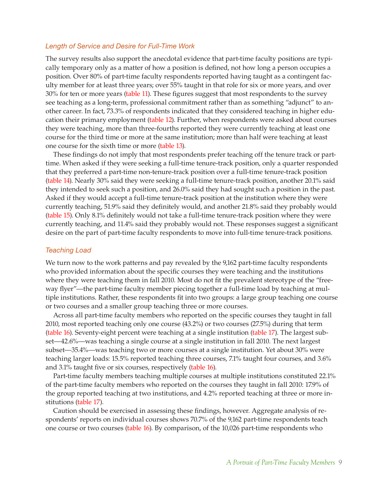### *Length of Service and Desire for Full-Time Work*

The survey results also support the anecdotal evidence that part-time faculty positions are typically temporary only as a matter of how a position is defined, not how long a person occupies a position. Over 80% of part-time faculty respondents reported having taught as a contingent faculty member for at least three years; over 55% taught in that role for six or more years, and over 30% for ten or more years [\(table 11](#page-25-0)). These figures suggest that most respondents to the survey see teaching as a long-term, professional commitment rather than as something "adjunct" to another career. In fact, 73.3% of respondents indicated that they considered teaching in higher education their primary employment [\(table 12\)](#page-25-0). Further, when respondents were asked about courses they were teaching, more than three-fourths reported they were currently teaching at least one course for the third time or more at the same institution; more than half were teaching at least one course for the sixth time or more [\(table 13\)](#page-26-0).

These findings do not imply that most respondents prefer teaching off the tenure track or parttime. When asked if they were seeking a full-time tenure-track position, only a quarter responded that they preferred a part-time non-tenure-track position over a full-time tenure-track position [\(table 14](#page-27-0)). Nearly 30% said they were seeking a full-time tenure-track position, another 20.1% said they intended to seek such a position, and 26.0% said they had sought such a position in the past. Asked if they would accept a full-time tenure-track position at the institution where they were currently teaching, 51.9% said they definitely would, and another 21.8% said they probably would [\(table 15](#page-27-0)). Only 8.1% definitely would not take a full-time tenure-track position where they were currently teaching, and 11.4% said they probably would not. These responses suggest a significant desire on the part of part-time faculty respondents to move into full-time tenure-track positions.

### *Teaching Load*

We turn now to the work patterns and pay revealed by the 9,162 part-time faculty respondents who provided information about the specific courses they were teaching and the institutions where they were teaching them in fall 2010. Most do not fit the prevalent stereotype of the "freeway flyer"—the part-time faculty member piecing together a full-time load by teaching at multiple institutions. Rather, these respondents fit into two groups: a large group teaching one course or two courses and a smaller group teaching three or more courses.

Across all part-time faculty members who reported on the specific courses they taught in fall 2010, most reported teaching only one course (43.2%) or two courses (27.5%) during that term [\(table 16\)](#page-28-0). Seventy-eight percent were teaching at a single institution [\(table 17](#page-29-0)). The largest subset—42.6%—was teaching a single course at a single institution in fall 2010. The next largest subset—35.4%—was teaching two or more courses at a single institution. Yet about 30% were teaching larger loads: 15.5% reported teaching three courses, 7.1% taught four courses, and 3.6% and 3.1% taught five or six courses, respectively [\(table 16](#page-28-0)).

Part-time faculty members teaching multiple courses at multiple institutions constituted 22.1% of the part-time faculty members who reported on the courses they taught in fall 2010: 17.9% of the group reported teaching at two institutions, and 4.2% reported teaching at three or more institutions [\(table 17\)](#page-29-0).

Caution should be exercised in assessing these findings, however. Aggregate analysis of respondents' reports on individual courses shows 70.7% of the 9,162 part-time respondents teach one course or two courses [\(table 16\)](#page-28-0). By comparison, of the 10,026 part-time respondents who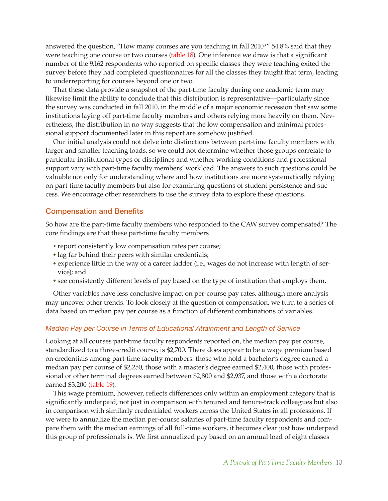answered the question, "How many courses are you teaching in fall 2010?" 54.8% said that they were teaching one course or two courses [\(table 18\)](#page-30-0). One inference we draw is that a significant number of the 9,162 respondents who reported on specific classes they were teaching exited the survey before they had completed questionnaires for all the classes they taught that term, leading to underreporting for courses beyond one or two.

That these data provide a snapshot of the part-time faculty during one academic term may likewise limit the ability to conclude that this distribution is representative—particularly since the survey was conducted in fall 2010, in the middle of a major economic recession that saw some institutions laying off part-time faculty members and others relying more heavily on them. Nevertheless, the distribution in no way suggests that the low compensation and minimal professional support documented later in this report are somehow justified.

Our initial analysis could not delve into distinctions between part-time faculty members with larger and smaller teaching loads, so we could not determine whether those groups correlate to particular institutional types or disciplines and whether working conditions and professional support vary with part-time faculty members' workload. The answers to such questions could be valuable not only for understanding where and how institutions are more systematically relying on part-time faculty members but also for examining questions of student persistence and success. We encourage other researchers to use the survey data to explore these questions.

### Compensation and Benefits

So how are the part-time faculty members who responded to the CAW survey compensated? The core findings are that these part-time faculty members

- ◆ report consistently low compensation rates per course;
- ◆ lag far behind their peers with similar credentials;
- ◆ experience little in the way of a career ladder (i.e., wages do not increase with length of service); and
- ◆ see consistently different levels of pay based on the type of institution that employs them.

Other variables have less conclusive impact on per-course pay rates, although more analysis may uncover other trends. To look closely at the question of compensation, we turn to a series of data based on median pay per course as a function of different combinations of variables.

### *Median Pay per Course in Terms of Educational Attainment and Length of Service*

Looking at all courses part-time faculty respondents reported on, the median pay per course, standardized to a three-credit course, is \$2,700. There does appear to be a wage premium based on credentials among part-time faculty members: those who hold a bachelor's degree earned a median pay per course of \$2,250, those with a master's degree earned \$2,400, those with professional or other terminal degrees earned between \$2,800 and \$2,937, and those with a doctorate earned \$3,200 [\(table 19](#page-31-0)).

This wage premium, however, reflects differences only within an employment category that is significantly underpaid, not just in comparison with tenured and tenure-track colleagues but also in comparison with similarly credentialed workers across the United States in all professions. If we were to annualize the median per-course salaries of part-time faculty respondents and compare them with the median earnings of all full-time workers, it becomes clear just how underpaid this group of professionals is. We first annualized pay based on an annual load of eight classes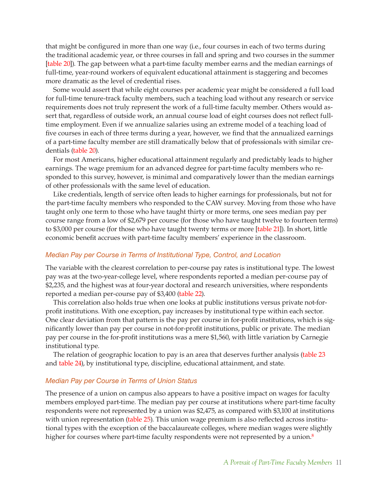that might be configured in more than one way (i.e., four courses in each of two terms during the traditional academic year, or three courses in fall and spring and two courses in the summer [\[table 20](#page-31-0)]). The gap between what a part-time faculty member earns and the median earnings of full-time, year-round workers of equivalent educational attainment is staggering and becomes more dramatic as the level of credential rises.

Some would assert that while eight courses per academic year might be considered a full load for full-time tenure-track faculty members, such a teaching load without any research or service requirements does not truly represent the work of a full-time faculty member. Others would assert that, regardless of outside work, an annual course load of eight courses does not reflect fulltime employment. Even if we annualize salaries using an extreme model of a teaching load of five courses in each of three terms during a year, however, we find that the annualized earnings of a part-time faculty member are still dramatically below that of professionals with similar credentials [\(table 20\)](#page-31-0).

For most Americans, higher educational attainment regularly and predictably leads to higher earnings. The wage premium for an advanced degree for part-time faculty members who responded to this survey, however, is minimal and comparatively lower than the median earnings of other professionals with the same level of education.

Like credentials, length of service often leads to higher earnings for professionals, but not for the part-time faculty members who responded to the CAW survey. Moving from those who have taught only one term to those who have taught thirty or more terms, one sees median pay per course range from a low of \$2,679 per course (for those who have taught twelve to fourteen terms) to \$3,000 per course (for those who have taught twenty terms or more [\[table 21](#page-32-0)]). In short, little economic benefit accrues with part-time faculty members' experience in the classroom.

### *Median Pay per Course in Terms of Institutional Type, Control, and Location*

The variable with the clearest correlation to per-course pay rates is institutional type. The lowest pay was at the two-year-college level, where respondents reported a median per-course pay of \$2,235, and the highest was at four-year doctoral and research universities, where respondents reported a median per-course pay of \$3,400 [\(table 22](#page-33-0)).

This correlation also holds true when one looks at public institutions versus private not-forprofit institutions. With one exception, pay increases by institutional type within each sector. One clear deviation from that pattern is the pay per course in for-profit institutions, which is significantly lower than pay per course in not-for-profit institutions, public or private. The median pay per course in the for-profit institutions was a mere \$1,560, with little variation by Carnegie institutional type.

The relation of geographic location to pay is an area that deserves further analysis [\(table 23](#page-34-0) and [table 24](#page-35-0)), by institutional type, discipline, educational attainment, and state.

### *Median Pay per Course in Terms of Union Status*

<span id="page-11-0"></span>The presence of a union on campus also appears to have a positive impact on wages for faculty members employed part-time. The median pay per course at institutions where part-time faculty respondents were not represented by a union was \$2,475, as compared with \$3,100 at institutions with union representation [\(table 25](#page-36-0)). This union wage premium is also reflected across institutional types with the exception of the baccalaureate colleges, where median wages were slightly higher for courses where part-time faculty respondents were not represented by a union.<sup>[8](#page-16-3)</sup>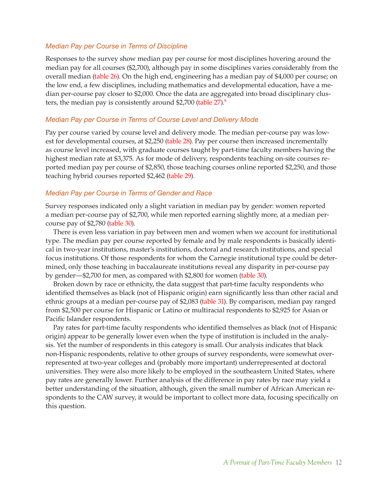### *Median Pay per Course in Terms of Discipline*

Responses to the survey show median pay per course for most disciplines hovering around the median pay for all courses (\$2,700), although pay in some disciplines varies considerably from the overall median [\(table 26\)](#page-37-0). On the high end, engineering has a median pay of \$4,000 per course; on the low end, a few disciplines, including mathematics and developmental education, have a median per-course pay closer to \$2,000. Once the data are aggregated into broad disciplinary clusters, the median pay is consistently around \$2,700 (table  $27$ ).<sup>9</sup>

### <span id="page-12-0"></span>*Median Pay per Course in Terms of Course Level and Delivery Mode*

Pay per course varied by course level and delivery mode. The median per-course pay was lowest for developmental courses, at \$2,250 [\(table 28](#page-39-0)). Pay per course then increased incrementally as course level increased, with graduate courses taught by part-time faculty members having the highest median rate at \$3,375. As for mode of delivery, respondents teaching on-site courses reported median pay per course of \$2,850, those teaching courses online reported \$2,250, and those teaching hybrid courses reported \$2,462 [\(table 29](#page-39-0)).

### *Median Pay per Course in Terms of Gender and Race*

Survey responses indicated only a slight variation in median pay by gender: women reported a median per-course pay of \$2,700, while men reported earning slightly more, at a median percourse pay of \$2,780 [\(table 30\)](#page-40-0).

There is even less variation in pay between men and women when we account for institutional type. The median pay per course reported by female and by male respondents is basically identical in two-year institutions, master's institutions, doctoral and research institutions, and special focus institutions. Of those respondents for whom the Carnegie institutional type could be determined, only those teaching in baccalaureate institutions reveal any disparity in per-course pay by gender—\$2,700 for men, as compared with \$2,800 for women [\(table 30](#page-40-0)).

Broken down by race or ethnicity, the data suggest that part-time faculty respondents who identified themselves as black (not of Hispanic origin) earn significantly less than other racial and ethnic groups at a median per-course pay of \$2,083 [\(table 31](#page-41-0)). By comparison, median pay ranged from \$2,500 per course for Hispanic or Latino or multiracial respondents to \$2,925 for Asian or Pacific Islander respondents.

Pay rates for part-time faculty respondents who identified themselves as black (not of Hispanic origin) appear to be generally lower even when the type of institution is included in the analysis. Yet the number of respondents in this category is small. Our analysis indicates that black non-Hispanic respondents, relative to other groups of survey respondents, were somewhat overrepresented at two-year colleges and (probably more important) underrepresented at doctoral universities. They were also more likely to be employed in the southeastern United States, where pay rates are generally lower. Further analysis of the difference in pay rates by race may yield a better understanding of the situation, although, given the small number of African American respondents to the CAW survey, it would be important to collect more data, focusing specifically on this question.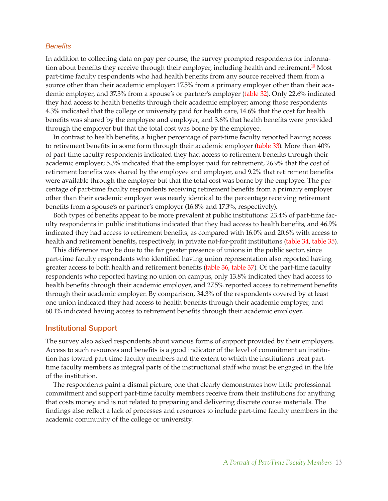### *Benefits*

<span id="page-13-0"></span>In addition to collecting data on pay per course, the survey prompted respondents for information about benefits they receive through their employer, including health and retirement[.10](#page-16-5) Most part-time faculty respondents who had health benefits from any source received them from a source other than their academic employer: 17.5% from a primary employer other than their academic employer, and 37.3% from a spouse's or partner's employer [\(table 32\)](#page-42-0). Only 22.6% indicated they had access to health benefits through their academic employer; among those respondents 4.3% indicated that the college or university paid for health care, 14.6% that the cost for health benefits was shared by the employee and employer, and 3.6% that health benefits were provided through the employer but that the total cost was borne by the employee.

In contrast to health benefits, a higher percentage of part-time faculty reported having access to retirement benefits in some form through their academic employer [\(table 33\)](#page-43-0). More than 40% of part-time faculty respondents indicated they had access to retirement benefits through their academic employer; 5.3% indicated that the employer paid for retirement, 26.9% that the cost of retirement benefits was shared by the employee and employer, and 9.2% that retirement benefits were available through the employer but that the total cost was borne by the employee. The percentage of part-time faculty respondents receiving retirement benefits from a primary employer other than their academic employer was nearly identical to the percentage receiving retirement benefits from a spouse's or partner's employer (16.8% and 17.3%, respectively).

Both types of benefits appear to be more prevalent at public institutions: 23.4% of part-time faculty respondents in public institutions indicated that they had access to health benefits, and 46.9% indicated they had access to retirement benefits, as compared with 16.0% and 20.6% with access to health and retirement benefits, respectively, in private not-for-profit institutions [\(table 34](#page-44-0), [table 35](#page-45-0)).

This difference may be due to the far greater presence of unions in the public sector, since part-time faculty respondents who identified having union representation also reported having greater access to both health and retirement benefits [\(table 36](#page-46-0), [table 37](#page-47-0)). Of the part-time faculty respondents who reported having no union on campus, only 13.8% indicated they had access to health benefits through their academic employer, and 27.5% reported access to retirement benefits through their academic employer. By comparison, 34.3% of the respondents covered by at least one union indicated they had access to health benefits through their academic employer, and 60.1% indicated having access to retirement benefits through their academic employer.

### Institutional Support

The survey also asked respondents about various forms of support provided by their employers. Access to such resources and benefits is a good indicator of the level of commitment an institution has toward part-time faculty members and the extent to which the institutions treat parttime faculty members as integral parts of the instructional staff who must be engaged in the life of the institution.

The respondents paint a dismal picture, one that clearly demonstrates how little professional commitment and support part-time faculty members receive from their institutions for anything that costs money and is not related to preparing and delivering discrete course materials. The findings also reflect a lack of processes and resources to include part-time faculty members in the academic community of the college or university.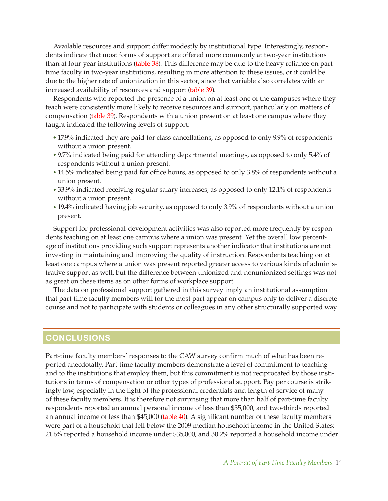Available resources and support differ modestly by institutional type. Interestingly, respondents indicate that most forms of support are offered more commonly at two-year institutions than at four-year institutions [\(table 38\)](#page-48-0). This difference may be due to the heavy reliance on parttime faculty in two-year institutions, resulting in more attention to these issues, or it could be due to the higher rate of unionization in this sector, since that variable also correlates with an increased availability of resources and support [\(table 39\)](#page-49-0).

Respondents who reported the presence of a union on at least one of the campuses where they teach were consistently more likely to receive resources and support, particularly on matters of compensation [\(table 39](#page-49-0)). Respondents with a union present on at least one campus where they taught indicated the following levels of support:

- ◆ 17.9% indicated they are paid for class cancellations, as opposed to only 9.9% of respondents without a union present.
- ◆ 9.7% indicated being paid for attending departmental meetings, as opposed to only 5.4% of respondents without a union present.
- ◆ 14.5% indicated being paid for office hours, as opposed to only 3.8% of respondents without a union present.
- ◆ 33.9% indicated receiving regular salary increases, as opposed to only 12.1% of respondents without a union present.
- ◆ 19.4% indicated having job security, as opposed to only 3.9% of respondents without a union present.

Support for professional-development activities was also reported more frequently by respondents teaching on at least one campus where a union was present. Yet the overall low percentage of institutions providing such support represents another indicator that institutions are not investing in maintaining and improving the quality of instruction. Respondents teaching on at least one campus where a union was present reported greater access to various kinds of administrative support as well, but the difference between unionized and nonunionized settings was not as great on these items as on other forms of workplace support.

The data on professional support gathered in this survey imply an institutional assumption that part-time faculty members will for the most part appear on campus only to deliver a discrete course and not to participate with students or colleagues in any other structurally supported way.

### **CONCLUSIONS**

Part-time faculty members' responses to the CAW survey confirm much of what has been reported anecdotally. Part-time faculty members demonstrate a level of commitment to teaching and to the institutions that employ them, but this commitment is not reciprocated by those institutions in terms of compensation or other types of professional support. Pay per course is strikingly low, especially in the light of the professional credentials and length of service of many of these faculty members. It is therefore not surprising that more than half of part-time faculty respondents reported an annual personal income of less than \$35,000, and two-thirds reported an annual income of less than \$45,000 [\(table 40](#page-50-0)). A significant number of these faculty members were part of a household that fell below the 2009 median household income in the United States: 21.6% reported a household income under \$35,000, and 30.2% reported a household income under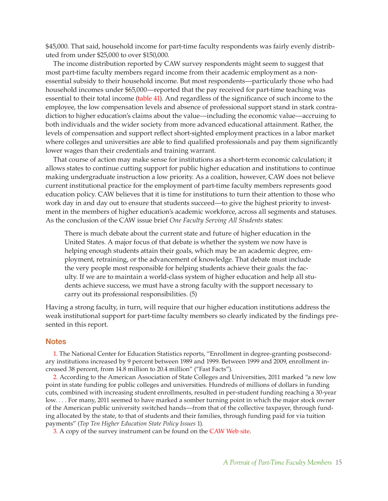\$45,000. That said, household income for part-time faculty respondents was fairly evenly distributed from under \$25,000 to over \$150,000.

The income distribution reported by CAW survey respondents might seem to suggest that most part-time faculty members regard income from their academic employment as a nonessential subsidy to their household income. But most respondents—particularly those who had household incomes under \$65,000—reported that the pay received for part-time teaching was essential to their total income [\(table 41](#page-51-0)). And regardless of the significance of such income to the employee, the low compensation levels and absence of professional support stand in stark contradiction to higher education's claims about the value—including the economic value—accruing to both individuals and the wider society from more advanced educational attainment. Rather, the levels of compensation and support reflect short-sighted employment practices in a labor market where colleges and universities are able to find qualified professionals and pay them significantly lower wages than their credentials and training warrant.

That course of action may make sense for institutions as a short-term economic calculation; it allows states to continue cutting support for public higher education and institutions to continue making undergraduate instruction a low priority. As a coalition, however, CAW does not believe current institutional practice for the employment of part-time faculty members represents good education policy. CAW believes that it is time for institutions to turn their attention to those who work day in and day out to ensure that students succeed—to give the highest priority to investment in the members of higher education's academic workforce, across all segments and statuses. As the conclusion of the CAW issue brief *One Faculty Serving All Students* states:

There is much debate about the current state and future of higher education in the United States. A major focus of that debate is whether the system we now have is helping enough students attain their goals, which may be an academic degree, employment, retraining, or the advancement of knowledge. That debate must include the very people most responsible for helping students achieve their goals: the faculty. If we are to maintain a world-class system of higher education and help all students achieve success, we must have a strong faculty with the support necessary to carry out its professional responsibilities. (5)

Having a strong faculty, in turn, will require that our higher education institutions address the weak institutional support for part-time faculty members so clearly indicated by the findings presented in this report.

### <span id="page-15-0"></span>**Notes**

[1.](#page-4-0) The National Center for Education Statistics reports, "Enrollment in degree-granting postsecondary institutions increased by 9 percent between 1989 and 1999. Between 1999 and 2009, enrollment increased 38 percent, from 14.8 million to 20.4 million" ("Fast Facts").

<span id="page-15-1"></span>[2.](#page-4-1) According to the American Association of State Colleges and Universities, 2011 marked "a new low point in state funding for public colleges and universities. Hundreds of millions of dollars in funding cuts, combined with increasing student enrollments, resulted in per-student funding reaching a 30-year low. . . . For many, 2011 seemed to have marked a somber turning point in which the major stock owner of the American public university switched hands—from that of the collective taxpayer, through funding allocated by the state, to that of students and their families, through funding paid for via tuition payments" (*Top Ten Higher Education State Policy Issues* 1).

<span id="page-15-3"></span><span id="page-15-2"></span>[3.](#page-5-0) A copy of the survey instrument can be found on the [CAW Web site](http://www.academicworkforce.org/CAW_survey_questions.pdf).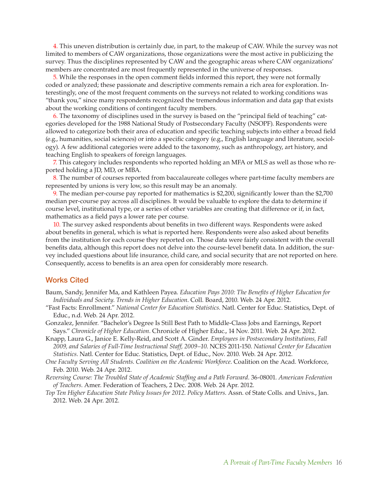[4.](#page-6-0) This uneven distribution is certainly due, in part, to the makeup of CAW. While the survey was not limited to members of CAW organizations, those organizations were the most active in publicizing the survey. Thus the disciplines represented by CAW and the geographic areas where CAW organizations' members are concentrated are most frequently represented in the universe of responses.

<span id="page-16-0"></span>[5.](#page-6-1) While the responses in the open comment fields informed this report, they were not formally coded or analyzed; these passionate and descriptive comments remain a rich area for exploration. Interestingly, one of the most frequent comments on the surveys not related to working conditions was "thank you," since many respondents recognized the tremendous information and data gap that exists about the working conditions of contingent faculty members.

<span id="page-16-1"></span>[6.](#page-8-0) The taxonomy of disciplines used in the survey is based on the "principal field of teaching" categories developed for the 1988 National Study of Postsecondary Faculty (NSOPF). Respondents were allowed to categorize both their area of education and specific teaching subjects into either a broad field (e.g., humanities, social sciences) or into a specific category (e.g., English language and literature, sociology). A few additional categories were added to the taxonomy, such as anthropology, art history, and teaching English to speakers of foreign languages.

<span id="page-16-3"></span><span id="page-16-2"></span>[7.](#page-8-1) This category includes respondents who reported holding an MFA or MLS as well as those who reported holding a JD, MD, or MBA.

<span id="page-16-4"></span>[8.](#page-11-0) The number of courses reported from baccalaureate colleges where part-time faculty members are represented by unions is very low, so this result may be an anomaly.

[9.](#page-12-0) The median per-course pay reported for mathematics is \$2,200, significantly lower than the \$2,700 median per-course pay across all disciplines. It would be valuable to explore the data to determine if course level, institutional type, or a series of other variables are creating that difference or if, in fact, mathematics as a field pays a lower rate per course.

<span id="page-16-5"></span>[10.](#page-13-0) The survey asked respondents about benefits in two different ways. Respondents were asked about benefits in general, which is what is reported here. Respondents were also asked about benefits from the institution for each course they reported on. Those data were fairly consistent with the overall benefits data, although this report does not delve into the course-level benefit data. In addition, the survey included questions about life insurance, child care, and social security that are not reported on here. Consequently, access to benefits is an area open for considerably more research.

### Works Cited

- Baum, Sandy, Jennifer Ma, and Kathleen Payea. *Education Pays 2010: The Benefits of Higher Education for Individuals and Society*. *Trends in Higher Education*. Coll. Board, 2010. Web. 24 Apr. 2012.
- "Fast Facts: Enrollment." *National Center for Education Statistics*. Natl. Center for Educ. Statistics, Dept. of Educ., n.d. Web. 24 Apr. 2012.

Gonzalez, Jennifer. "Bachelor's Degree Is Still Best Path to Middle-Class Jobs and Earnings, Report Says." *Chronicle of Higher Education*. Chronicle of Higher Educ., 14 Nov. 2011. Web. 24 Apr. 2012.

- Knapp, Laura G., Janice E. Kelly-Reid, and Scott A. Ginder. *Employees in Postsecondary Institutions, Fall 2009, and Salaries of Full-Time Instructional Staff, 2009–10*. NCES 2011-150. *National Center for Education Statistics*. Natl. Center for Educ. Statistics, Dept. of Educ., Nov. 2010. Web. 24 Apr. 2012.
- *One Faculty Serving All Students*. *Coalition on the Academic Workforce*. Coalition on the Acad. Workforce, Feb. 2010. Web. 24 Apr. 2012.
- *Reversing Course: The Troubled State of Academic Staffing and a Path Forward*. 36-08001. *American Federation of Teachers*. Amer. Federation of Teachers, 2 Dec. 2008. Web. 24 Apr. 2012.
- *Top Ten Higher Education State Policy Issues for 2012*. *Policy Matters*. Assn. of State Colls. and Univs., Jan. 2012. Web. 24 Apr. 2012.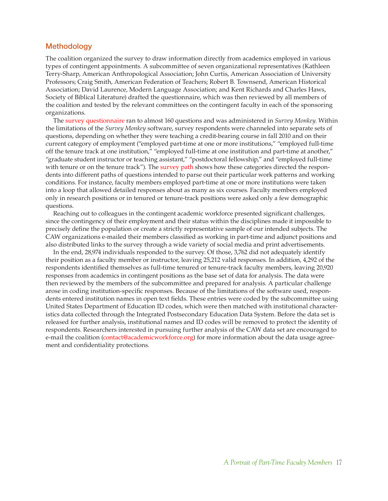### **Methodology**

The coalition organized the survey to draw information directly from academics employed in various types of contingent appointments. A subcommittee of seven organizational representatives (Kathleen Terry-Sharp, American Anthropological Association; John Curtis, American Association of University Professors; Craig Smith, American Federation of Teachers; Robert B. Townsend, American Historical Association; David Laurence, Modern Language Association; and Kent Richards and Charles Haws, Society of Biblical Literature) drafted the questionnaire, which was then reviewed by all members of the coalition and tested by the relevant committees on the contingent faculty in each of the sponsoring organizations.

The [survey questionnaire](http://www.academicworkforce.org/CAW_survey_questions.pdf  ) ran to almost 160 questions and was administered in *Survey Monkey*. Within the limitations of the *Survey Monkey* software, survey respondents were channeled into separate sets of questions, depending on whether they were teaching a credit-bearing course in fall 2010 and on their current category of employment ("employed part-time at one or more institutions," "employed full-time off the tenure track at one institution," "employed full-time at one institution and part-time at another," "graduate student instructor or teaching assistant," "postdoctoral fellowship," and "employed full-time with tenure or on the tenure track"). The [survey path](http://www.academicworkforce.org/CAW_survey_pathways.pdf ) shows how these categories directed the respondents into different paths of questions intended to parse out their particular work patterns and working conditions. For instance, faculty members employed part-time at one or more institutions were taken into a loop that allowed detailed responses about as many as six courses. Faculty members employed only in research positions or in tenured or tenure-track positions were asked only a few demographic questions.

Reaching out to colleagues in the contingent academic workforce presented significant challenges, since the contingency of their employment and their status within the disciplines made it impossible to precisely define the population or create a strictly representative sample of our intended subjects. The CAW organizations e-mailed their members classified as working in part-time and adjunct positions and also distributed links to the survey through a wide variety of social media and print advertisements.

In the end, 28,974 individuals responded to the survey. Of those, 3,762 did not adequately identify their position as a faculty member or instructor, leaving 25,212 valid responses. In addition, 4,292 of the respondents identified themselves as full-time tenured or tenure-track faculty members, leaving 20,920 responses from academics in contingent positions as the base set of data for analysis. The data were then reviewed by the members of the subcommittee and prepared for analysis. A particular challenge arose in coding institution-specific responses. Because of the limitations of the software used, respondents entered institution names in open text fields. These entries were coded by the subcommittee using United States Department of Education ID codes, which were then matched with institutional characteristics data collected through the Integrated Postsecondary Education Data System. Before the data set is released for further analysis, institutional names and ID codes will be removed to protect the identity of respondents. Researchers interested in pursuing further analysis of the CAW data set are encouraged to e-mail the coalition [\(contact@academicworkforce.org](mailto:contact%40academicworkforce.org?subject=)) for more information about the data usage agreement and confidentiality protections.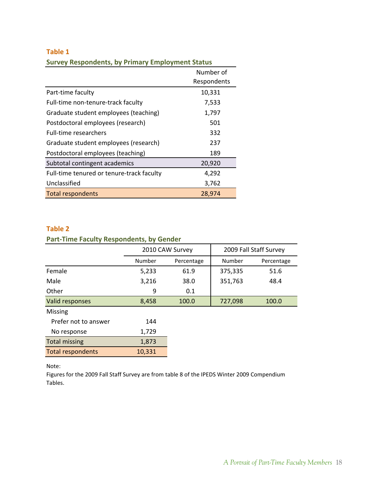|                                           | Number of<br>Respondents |
|-------------------------------------------|--------------------------|
| Part-time faculty                         | 10,331                   |
| Full-time non-tenure-track faculty        | 7,533                    |
| Graduate student employees (teaching)     | 1,797                    |
| Postdoctoral employees (research)         | 501                      |
| <b>Full-time researchers</b>              | 332                      |
| Graduate student employees (research)     | 237                      |
| Postdoctoral employees (teaching)         | 189                      |
| Subtotal contingent academics             | 20,920                   |
| Full-time tenured or tenure-track faculty | 4,292                    |
| Unclassified                              | 3,762                    |
| <b>Total respondents</b>                  | 28,974                   |

<span id="page-18-0"></span>**Survey Respondents, by Primary Employment Status**

### **Table 2**

### **Part‐Time Faculty Respondents, by Gender**

|                          |        | 2010 CAW Survey |         | 2009 Fall Staff Survey |
|--------------------------|--------|-----------------|---------|------------------------|
|                          | Number | Percentage      | Number  | Percentage             |
| Female                   | 5,233  | 61.9            | 375,335 | 51.6                   |
| Male                     | 3,216  | 38.0            | 351,763 | 48.4                   |
| Other                    | 9      | 0.1             |         |                        |
| Valid responses          | 8,458  | 100.0           | 727,098 | 100.0                  |
| <b>Missing</b>           |        |                 |         |                        |
| Prefer not to answer     | 144    |                 |         |                        |
| No response              | 1,729  |                 |         |                        |
| <b>Total missing</b>     | 1,873  |                 |         |                        |
| <b>Total respondents</b> | 10,331 |                 |         |                        |
|                          |        |                 |         |                        |

Note:

Figures for the 2009 Fall Staff Survey are from table 8 of the IPEDS Winter 2009 Compendium Tables.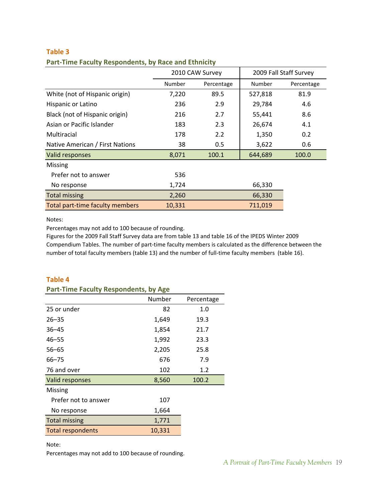| Part-Time Faculty Respondents, by Race and Ethnicity |        |                 |         |                        |
|------------------------------------------------------|--------|-----------------|---------|------------------------|
|                                                      |        | 2010 CAW Survey |         | 2009 Fall Staff Survey |
|                                                      | Number | Percentage      | Number  | Percenta               |
| White (not of Hispanic origin)                       | 7.220  | 89.5            | 527.818 | 81.9                   |
| Hispanic or Latino                                   | 236    | 2.9             | 29,784  | 4.6                    |

<span id="page-19-0"></span>**Part‐Time Faculty Respondents, by Race and Ethnicity**

Black (not of Hispanic origin) 216 2.7 35,441 8.6 Asian or Pacific Islander 183 2.3 2.674 4.1 Multiracial 178 2.2 1,350 0.2 Native American / First Nations 38 0.5 3,622 0.6 Valid responses 6 100.0 100.0 100.0 100.0 100.0 100.0 100.0 100.0 100.0 100.0 100.0 100.0 100.0 100.0 100.0 10 Missing Prefer not to answer 536 No response 66,330 Total missing 2,260 66,330 Total part-time faculty members 10,331 711,019

Notes:

Percentages may not add to 100 because of rounding.

Figures for the 2009 Fall Staff Survey data are from table 13 and table 16 of the IPEDS Winter 2009 Compendium Tables. The number of part‐time faculty members is calculated as the difference between the number of total faculty members (table 13) and the number of full-time faculty members (table 16).

### **Table 4 Part‐Time Faculty Respondents, by Age**

| Part-Time Faculty Respondents, by Age |        |            |
|---------------------------------------|--------|------------|
|                                       | Number | Percentage |
| 25 or under                           | 82     | 1.0        |
| $26 - 35$                             | 1,649  | 19.3       |
| $36 - 45$                             | 1,854  | 21.7       |
| $46 - 55$                             | 1,992  | 23.3       |
| $56 - 65$                             | 2,205  | 25.8       |
| $66 - 75$                             | 676    | 7.9        |
| 76 and over                           | 102    | 1.2        |
| Valid responses                       | 8,560  | 100.2      |
| <b>Missing</b>                        |        |            |
| Prefer not to answer                  | 107    |            |
| No response                           | 1,664  |            |
| <b>Total missing</b>                  | 1,771  |            |
| <b>Total respondents</b>              | 10,331 |            |

Note:

Percentages may not add to 100 because of rounding.

Percentage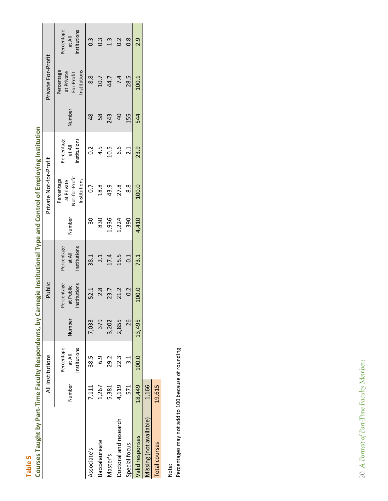| r |  |
|---|--|
|   |  |
| ٠ |  |
|   |  |

| ſ                                                     |  |
|-------------------------------------------------------|--|
| J                                                     |  |
| Į<br>ļ<br>ı<br>ſ<br>١<br>ś<br>ſ                       |  |
| ŗ<br>Ċ<br>Ó<br>ľ                                      |  |
| d<br>ſ<br>ľ<br>ŗ<br>j<br>ŗ<br>C<br>¢                  |  |
| C<br>i<br>ſ<br>d<br>ī<br>ł                            |  |
| ś<br>ı<br>Ç<br>Ó<br>ī<br>ŗ<br>Ó<br>ţ                  |  |
| í<br>Ï<br>ſ<br>j<br>Ē<br>J<br>0<br>ī<br>j             |  |
| ſ<br>ı<br>ı<br>I<br>Ì,<br>d<br>j<br>l                 |  |
| ŗ<br>ľ<br>l<br>J<br>ļ<br>ĵ<br>j<br>֡֡֡֡֡֡֡֡<br>ī<br>ſ |  |
| Ċ<br>J<br>urs<br>b<br>Ō<br>j<br>J<br>٢                |  |

<span id="page-20-0"></span>

|                         |        | All Institutions                     |        | Public                                  |                                      |                | Private Not-for-Profit                                     |                                     |                | Private For-Profit                                     |                                     |
|-------------------------|--------|--------------------------------------|--------|-----------------------------------------|--------------------------------------|----------------|------------------------------------------------------------|-------------------------------------|----------------|--------------------------------------------------------|-------------------------------------|
|                         | Number | Percentage<br>Institutions<br>at All | Number | Percentage<br>Institutions<br>at Public | Percentage<br>Institutions<br>at All | Number         | Not-for-Profit<br>Institutions<br>Percentage<br>at Private | nstitutions<br>Percentage<br>at All | Number         | Percentage<br>Institutions<br>at Private<br>For-Profit | Percentage<br>nstitutions<br>at All |
| Associate's             | 7,111  | 38.5                                 | 7,033  | 52.1                                    | 38.1                                 | $\frac{30}{5}$ | 0.7                                                        | $\overline{0}$ .                    | $\frac{8}{3}$  | 8.8                                                    | $\frac{3}{2}$                       |
| <b>Baccalaureate</b>    | 1,267  | 6.9                                  | 379    | 2.8                                     | 2.1                                  | 830            | 18.8                                                       | 4.5                                 | 58             | 10.7                                                   | $0.\overline{3}$                    |
| Master's                | 5,381  | 29.2                                 | 3,202  | 23.7                                    | 17.4                                 | 1,936          | 43.9                                                       | 10.5                                | 243            | 44.7                                                   | 1.3                                 |
| Doctoral and research   | 4,119  | 22.3                                 | 2,855  | 21.2                                    | 15.5                                 | 1,224          | 27.8                                                       | <u>م.</u>                           | $\overline{a}$ | 7.4                                                    | 0.2                                 |
| Special focus           | 571    | $\frac{1}{3}$                        | 26     | 0.2                                     | 0.1                                  | 390            | $\frac{8}{8}$                                              | 2.1                                 | 155            | 28.5                                                   | $\frac{8}{2}$                       |
| valid responses         | 18,449 | 100.0                                | 13,495 | 100.0                                   | 73.1                                 | 4,410          | 100.0                                                      | 23.9                                | 544            | 100.1                                                  | 2.9                                 |
| Aissing (not available) | 1,166  |                                      |        |                                         |                                      |                |                                                            |                                     |                |                                                        |                                     |
| Total courses           | 19,615 |                                      |        |                                         |                                      |                |                                                            |                                     |                |                                                        |                                     |

Note:<br>Percentages may not add to 100 because of rounding. Percentages may not add to 100 because of rounding.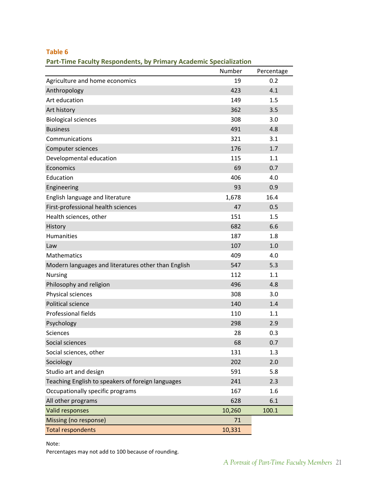<span id="page-21-0"></span>**Part‐Time Faculty Respondents, by Primary Academic Specialization**

|                                                     | Number | Percentage |
|-----------------------------------------------------|--------|------------|
| Agriculture and home economics                      | 19     | 0.2        |
| Anthropology                                        | 423    | 4.1        |
| Art education                                       | 149    | 1.5        |
| Art history                                         | 362    | 3.5        |
| <b>Biological sciences</b>                          | 308    | 3.0        |
| <b>Business</b>                                     | 491    | 4.8        |
| Communications                                      | 321    | 3.1        |
| Computer sciences                                   | 176    | 1.7        |
| Developmental education                             | 115    | 1.1        |
| Economics                                           | 69     | 0.7        |
| Education                                           | 406    | 4.0        |
| Engineering                                         | 93     | 0.9        |
| English language and literature                     | 1,678  | 16.4       |
| First-professional health sciences                  | 47     | 0.5        |
| Health sciences, other                              | 151    | 1.5        |
| History                                             | 682    | 6.6        |
| Humanities                                          | 187    | 1.8        |
| Law                                                 | 107    | 1.0        |
| Mathematics                                         | 409    | 4.0        |
| Modern languages and literatures other than English | 547    | 5.3        |
| <b>Nursing</b>                                      | 112    | 1.1        |
| Philosophy and religion                             | 496    | 4.8        |
| Physical sciences                                   | 308    | 3.0        |
| Political science                                   | 140    | 1.4        |
| <b>Professional fields</b>                          | 110    | 1.1        |
| Psychology                                          | 298    | 2.9        |
| <b>Sciences</b>                                     | 28     | 0.3        |
| Social sciences                                     | 68     | 0.7        |
| Social sciences, other                              | 131    | 1.3        |
| Sociology                                           | 202    | 2.0        |
| Studio art and design                               | 591    | 5.8        |
| Teaching English to speakers of foreign languages   | 241    | 2.3        |
| Occupationally specific programs                    | 167    | 1.6        |
| All other programs                                  | 628    | 6.1        |
| Valid responses                                     | 10,260 | 100.1      |
| Missing (no response)                               | 71     |            |
| <b>Total respondents</b>                            | 10,331 |            |

Note:

Percentages may not add to 100 because of rounding.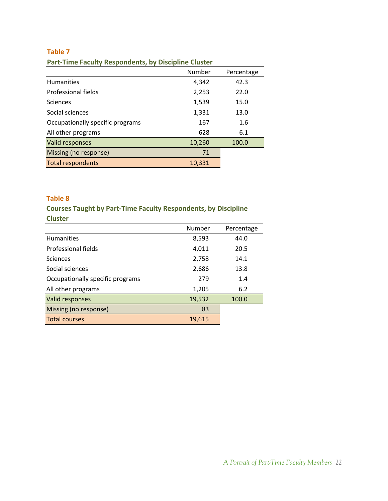### <span id="page-22-0"></span>**Part‐Time Faculty Respondents, by Discipline Cluster**

|                                  | Number | Percentage |
|----------------------------------|--------|------------|
| <b>Humanities</b>                | 4,342  | 42.3       |
| Professional fields              | 2,253  | 22.0       |
| <b>Sciences</b>                  | 1,539  | 15.0       |
| Social sciences                  | 1,331  | 13.0       |
| Occupationally specific programs | 167    | 1.6        |
| All other programs               | 628    | 6.1        |
| Valid responses                  | 10,260 | 100.0      |
| Missing (no response)            | 71     |            |
| <b>Total respondents</b>         | 10,331 |            |

### **Table 8**

**Courses Taught by Part‐Time Faculty Respondents, by Discipline Cluster**

|                                  | Number | Percentage |
|----------------------------------|--------|------------|
| <b>Humanities</b>                | 8,593  | 44.0       |
| Professional fields              | 4,011  | 20.5       |
| <b>Sciences</b>                  | 2,758  | 14.1       |
| Social sciences                  | 2,686  | 13.8       |
| Occupationally specific programs | 279    | 1.4        |
| All other programs               | 1,205  | 6.2        |
| Valid responses                  | 19,532 | 100.0      |
| Missing (no response)            | 83     |            |
| <b>Total courses</b>             | 19,615 |            |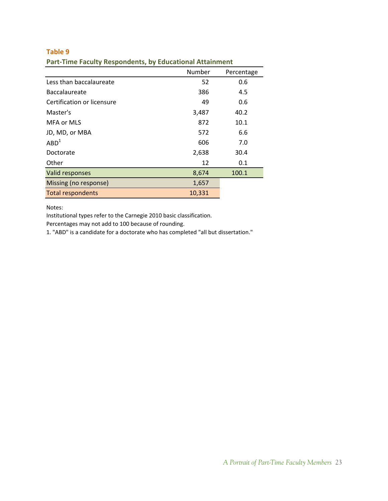| --------<br>$\cdots$ $\cdots$ $\cdots$ $\cdots$ $\cdots$ $\cdots$ $\cdots$ |        |            |
|----------------------------------------------------------------------------|--------|------------|
|                                                                            | Number | Percentage |
| Less than baccalaureate                                                    | 52     | 0.6        |
| <b>Baccalaureate</b>                                                       | 386    | 4.5        |
| Certification or licensure                                                 | 49     | 0.6        |
| Master's                                                                   | 3,487  | 40.2       |
| MFA or MLS                                                                 | 872    | 10.1       |
| JD, MD, or MBA                                                             | 572    | 6.6        |
| ABD <sup>1</sup>                                                           | 606    | 7.0        |
| Doctorate                                                                  | 2,638  | 30.4       |
| Other                                                                      | 12     | 0.1        |
| Valid responses                                                            | 8,674  | 100.1      |
| Missing (no response)                                                      | 1,657  |            |
| <b>Total respondents</b>                                                   | 10,331 |            |

<span id="page-23-0"></span>**Part‐Time Faculty Respondents, by Educational Attainment**

Notes:

Institutional types refer to the Carnegie 2010 basic classification.

Percentages may not add to 100 because of rounding.

1. "ABD" is a candidate for a doctorate who has completed "all but dissertation."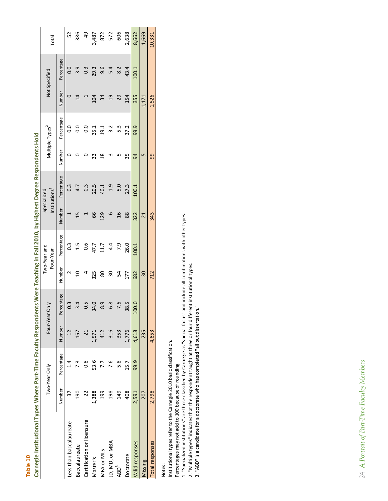| ı<br>ı |  |
|--------|--|
| г      |  |
| ÷      |  |
| ٠      |  |
|        |  |

| ī                    |
|----------------------|
| ١                    |
|                      |
| j<br>i               |
| I<br>֠<br>ı          |
| ī,<br>j              |
| S<br>֡֡֡֡֡           |
|                      |
| i<br>I               |
| ř<br>ſ               |
| ֚֚֡<br>۱             |
| ۱<br>ׇ֪֪֪֪֚֬֝֬֝֬֝֬֝֬ |
| í<br>í<br>۱          |
| Ì<br>ſ               |
| ī<br>i               |
| ä<br>J               |
| b<br>֦               |
|                      |
|                      |
|                      |
|                      |
| I                    |
| ſ<br>۱               |
|                      |
| I                    |
|                      |
| ≘                    |
| l<br>J<br>ŗ          |
| ſ                    |
| í                    |
| J                    |
| ı                    |
| ١                    |
| I                    |
| ı                    |
|                      |
| ì<br>١               |
| i                    |
| i<br>d<br>١          |
|                      |
| j                    |
| ſ                    |
|                      |
|                      |
| ä<br>֚               |
|                      |
| Ó<br>ı<br>I          |
|                      |
| ĺ                    |
|                      |
|                      |
| İ                    |
|                      |
|                      |
| j<br>١               |
| ś<br>Ē               |
| ś                    |
| .<br>قا<br>j         |
| í                    |
| I                    |
| ī                    |
| d                    |
| í<br>١               |
|                      |
|                      |
|                      |
|                      |
|                      |
| ׇ֘֝<br>j<br>l        |
| Ś                    |
| ē<br>ſ               |
| ij<br>C              |

<span id="page-24-0"></span>

| Two-Year Only                   |  | Four-Year Only |                  |        | Two-Year and<br>Four-Year |                | Institutions <sup>1</sup><br>Specialized |               | Multiple Types <sup>2</sup> |                | Not Specified    | Total          |
|---------------------------------|--|----------------|------------------|--------|---------------------------|----------------|------------------------------------------|---------------|-----------------------------|----------------|------------------|----------------|
| Number<br>Percentage<br>Number  |  |                | Percentage       | Number | Percentage                | Number         | Percentage                               | Number        | Percentage                  | Number         | Percentage       |                |
| $\vec{A}$<br>77                 |  |                | 0.3              |        | $\frac{3}{2}$             |                | $0.\overline{3}$                         |               | $\overline{0}$              |                | 0.0              | 52             |
| 57<br>7.3<br>$\overline{0}$     |  |                | $\overline{3.4}$ |        | $\frac{1}{1}$             |                | 4.7                                      |               | ိ                           | $\overline{4}$ | 3.9              | 386            |
| 8<br>O                          |  |                | 0.5              |        | <b>9.0</b>                |                | 0.3                                      |               | 0.0                         |                | $0.\overline{3}$ | $\overline{6}$ |
| 1,571<br>53.6<br>1,388          |  |                | 34.0             | 325    | 47.7                      | 66             | 20.5                                     | 33            | 35.1                        | $\overline{5}$ | 29.3             | 3,487          |
| 412<br>77<br>199                |  |                | 8.9              | 80     | 11.7                      | 129            | 40.1                                     | $\frac{8}{1}$ | $\frac{19.1}{2}$            | 34             | 9.6              | 872            |
| 316<br>9.7<br>98                |  |                | 6.8              | 30     | 4.4                       | ဖ              | $\frac{1}{2}$                            |               | 3.2                         | $\overline{a}$ | 5.4              | 572            |
| 353<br>5.8<br>149               |  |                | 9.6              | 54     | 7.9                       | $\frac{6}{1}$  | 5.0                                      |               | 53                          | 29             | 8.2              | 606            |
| 1,776<br>15.7<br>408            |  |                | 38.5             | 177    | 26.0                      | 88             | 27.3                                     | 35            | 37.2                        | 154            | 43.4             | 2,638          |
| 100.0<br>4,618<br>99.9<br>2,591 |  |                |                  | 682    | 100.1                     | 322            | 100.1                                    | 94            | 99.9                        | 355            | 100.1            | 8,662          |
| 235<br>207                      |  |                |                  | 30     |                           | $\overline{c}$ |                                          | S             |                             | 1,171          |                  | 1,669          |
| 4,853<br>2,798                  |  |                |                  | 712    |                           | 343            |                                          | 99            |                             | 1,526          |                  | 10,331         |
|                                 |  |                |                  |        |                           |                |                                          |               |                             |                |                  |                |

Notes:

Institutional types refer to the Carnegie 2010 basic classification. Institutional types refer to the Carnegie 2010 basic classification.

Percentages may not add to 100 because of rounding. Percentages may not add to 100 because of rounding.

1. "Specialized institutions" are those classified by Carnegie as "special focus" and include all combinations with other types.<br>2. "Multiple types" indicates that the respondent taught at three or four different instituti 1. "Specialized institutions" are those classified by Carnegie as "special focus" and include all combinations with other types.

2. "Multiple types" indicates that the respondent taught at three or four different institutional types.

3. "ABD" is a candidate for a doctorate who has completed "all but dissertation."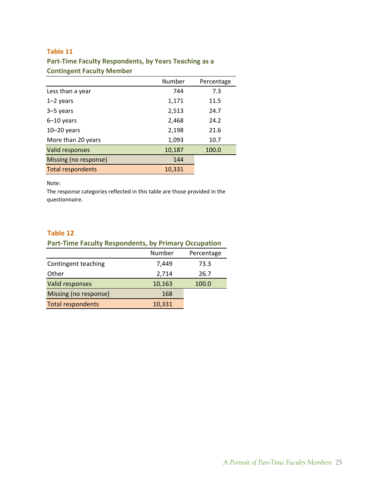### <span id="page-25-0"></span>**Part‐Time Faculty Respondents, by Years Teaching as a Contingent Faculty Member**

|                          | Number | Percentage |
|--------------------------|--------|------------|
| Less than a year         | 744    | 7.3        |
| $1-2$ years              | 1,171  | 11.5       |
| 3-5 years                | 2,513  | 24.7       |
| $6-10$ years             | 2,468  | 24.2       |
| $10 - 20$ years          | 2,198  | 21.6       |
| More than 20 years       | 1,093  | 10.7       |
| Valid responses          | 10,187 | 100.0      |
| Missing (no response)    | 144    |            |
| <b>Total respondents</b> | 10,331 |            |

### Note:

The response categories reflected in this table are those provided in the questionnaire.

### **Table 12**

| <b>Part-Time Faculty Respondents, by Primary Occupation</b> |        |            |
|-------------------------------------------------------------|--------|------------|
|                                                             | Number | Percentage |
| Contingent teaching                                         | 7,449  | 73.3       |
| Other                                                       | 2,714  | 26.7       |
| Valid responses                                             | 10,163 | 100.0      |
| Missing (no response)                                       | 168    |            |
| <b>Total respondents</b>                                    | 10,331 |            |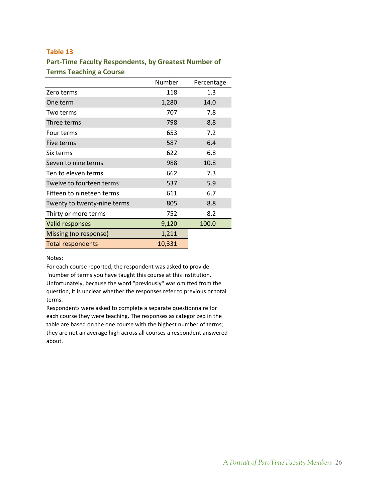### <span id="page-26-0"></span>**Part‐Time Faculty Respondents, by Greatest Number of Terms Teaching a Course**

|                             | Number | Percentage |
|-----------------------------|--------|------------|
| Zero terms                  | 118    | 1.3        |
| One term                    | 1,280  | 14.0       |
| Two terms                   | 707    | 7.8        |
| Three terms                 | 798    | 8.8        |
| Four terms                  | 653    | 7.2        |
| Five terms                  | 587    | 6.4        |
| Six terms                   | 622    | 6.8        |
| Seven to nine terms         | 988    | 10.8       |
| Ten to eleven terms         | 662    | 7.3        |
| Twelve to fourteen terms    | 537    | 5.9        |
| Fifteen to nineteen terms   | 611    | 6.7        |
| Twenty to twenty-nine terms | 805    | 8.8        |
| Thirty or more terms        | 752    | 8.2        |
| Valid responses             | 9,120  | 100.0      |
| Missing (no response)       | 1,211  |            |
| <b>Total respondents</b>    | 10,331 |            |

### Notes:

For each course reported, the respondent was asked to provide "number of terms you have taught this course at this institution." Unfortunately, because the word "previously" was omitted from the question, it is unclear whether the responses refer to previous or total terms.

Respondents were asked to complete a separate questionnaire for each course they were teaching. The responses as categorized in the table are based on the one course with the highest number of terms; they are not an average high across all courses a respondent answered about.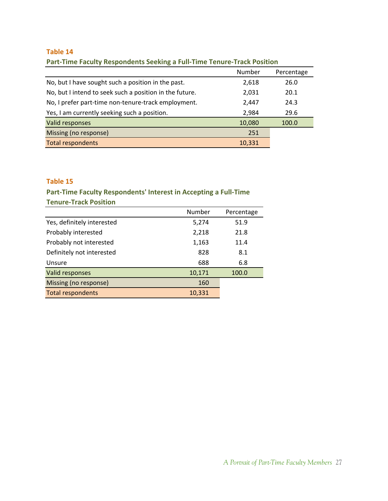| <u>. With the company throughout world and company with the company through the control of</u> |        |            |
|------------------------------------------------------------------------------------------------|--------|------------|
|                                                                                                | Number | Percentage |
| No, but I have sought such a position in the past.                                             | 2,618  | 26.0       |
| No, but I intend to seek such a position in the future.                                        | 2,031  | 20.1       |
| No, I prefer part-time non-tenure-track employment.                                            | 2,447  | 24.3       |
| Yes, I am currently seeking such a position.                                                   | 2,984  | 29.6       |
| Valid responses                                                                                | 10,080 | 100.0      |
| Missing (no response)                                                                          | 251    |            |
| <b>Total respondents</b>                                                                       | 10,331 |            |

### <span id="page-27-0"></span>**Part‐Time Faculty Respondents Seeking a Full‐Time Tenure‐Track Position**

### **Table 15**

### **Part‐Time Faculty Respondents' Interest in Accepting a Full‐Time Tenure‐Track Position**

|                            | Number | Percentage |
|----------------------------|--------|------------|
| Yes, definitely interested | 5,274  | 51.9       |
| Probably interested        | 2,218  | 21.8       |
| Probably not interested    | 1,163  | 11.4       |
| Definitely not interested  | 828    | 8.1        |
| Unsure                     | 688    | 6.8        |
| Valid responses            | 10,171 | 100.0      |
| Missing (no response)      | 160    |            |
| <b>Total respondents</b>   | 10,331 |            |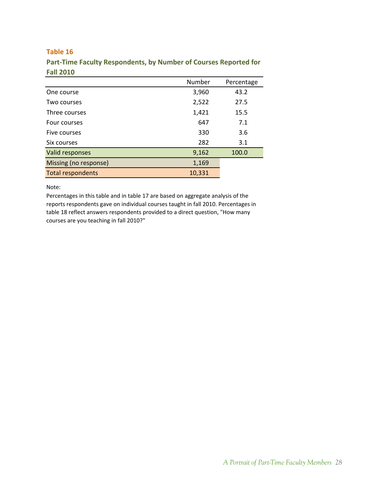|                          | Number | Percentage |
|--------------------------|--------|------------|
| One course               | 3,960  | 43.2       |
| Two courses              | 2,522  | 27.5       |
| Three courses            | 1,421  | 15.5       |
| Four courses             | 647    | 7.1        |
| Five courses             | 330    | 3.6        |
| Six courses              | 282    | 3.1        |
| Valid responses          | 9,162  | 100.0      |
| Missing (no response)    | 1,169  |            |
| <b>Total respondents</b> | 10,331 |            |

<span id="page-28-0"></span>**Part‐Time Faculty Respondents, by Number of Courses Reported for Fall 2010**

Note:

Percentages in this table and in table 17 are based on aggregate analysis of the reports respondents gave on individual courses taught in fall 2010. Percentages in table 18 reflect answers respondents provided to a direct question, "How many courses are you teaching in fall 2010?"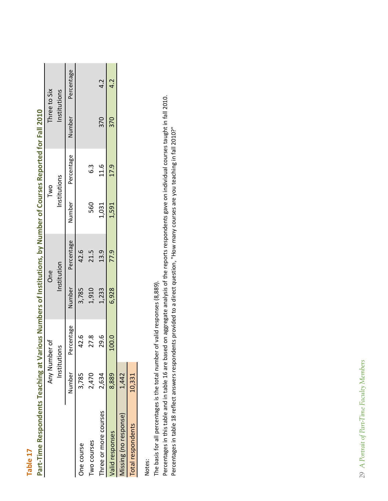| $\sim$                                                                                                                       |
|------------------------------------------------------------------------------------------------------------------------------|
| -                                                                                                                            |
|                                                                                                                              |
| ٠<br>$\mathcal{L}(\mathcal{L})$ and $\mathcal{L}(\mathcal{L})$ and $\mathcal{L}(\mathcal{L})$ and $\mathcal{L}(\mathcal{L})$ |

| l<br>ı           |
|------------------|
| Ι<br>Ī           |
| ı                |
| ตี้              |
| Г<br>ŗ<br>J      |
| ē<br>١<br>j      |
| j                |
| Ī                |
| ì<br>١           |
| ŗ<br>í<br>C<br>J |
| í<br>ſ           |
| ì<br>G<br>J      |
| j<br>ļ           |
| j<br>Ċ           |
| ſ<br>J           |
| O<br>١           |
| Φ                |
| Ż                |
| j                |
| í                |
| į<br>ŗ           |
| ł                |
| O<br>١<br>ç      |
| l<br>١           |
| j                |
|                  |
|                  |
| í<br>ŧ<br>١      |
| Ù                |
| Ó<br>J<br>ı      |
| ì                |
|                  |
| Ź<br>j           |
| J<br>S           |
| ſ<br>١           |
| ī                |
|                  |
| Ô                |
| ĵ<br>j           |
|                  |
| dCh.<br>စ္မ      |
| ľ                |
| ١<br>₫           |
| Ξā               |
| nd               |
| ā                |
|                  |
| <b>Resp</b>      |
|                  |
| e<br>C           |
| -<br>Ę<br>ï      |
|                  |
|                  |
| Part-            |

<span id="page-29-0"></span>

|                       |        | Any Number of |        | <b>One</b>  |       | Two                  |      | Three to Six      |
|-----------------------|--------|---------------|--------|-------------|-------|----------------------|------|-------------------|
|                       |        | Institutions  |        | Institution |       | Institutions         |      | Institutions      |
|                       | Number | Percentage    | Number | Percentage  |       | Number<br>Percentage |      | Number Percentage |
| One course            | 3,785  | 42.6          | 3,785  | 42.6        |       |                      |      |                   |
| wo courses            | 2,470  | 27.8          | 1,910  | 21.5        | 560   | $6.\overline{3}$     |      |                   |
| hree or more courses  | 2,634  | 29.6          | 1,233  | 13.9        | 1,031 | 11.6                 | 370  | 4.2               |
| Valid responses       | 8,889  | 100.0         | 6,928  | 77.9        | 1,591 | 17.9                 | -370 | 4.2               |
| Aissing (no response) | 1,442  |               |        |             |       |                      |      |                   |
| Total respondents     | 10,331 |               |        |             |       |                      |      |                   |

Notes:

The basis for all percentages is the total number of valid responses (8,889). The basis for all percentages is the total number of valid responses (8,889).

Percentages in this table and in table 16 are based on aggregate analysis of the reports respondents gave on individual courses taught in fall 2010.<br>Percentages in table 18 reflect answers respondents provided to a direct Percentages in this table and in table 16 are based on aggregate analysis of the reports respondents gave on individual courses taught in fall 2010. Percentages in table 18 reflect answers respondents provided to a direct question, "How many courses are you teaching in fall 2010?"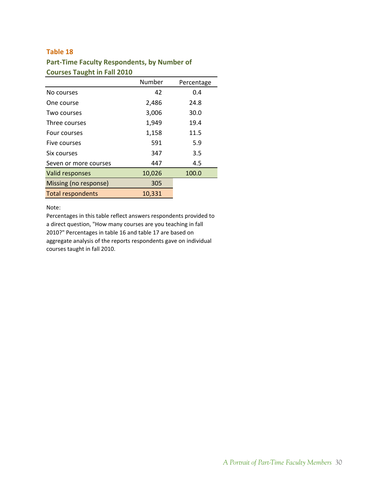### <span id="page-30-0"></span>**Part‐Time Faculty Respondents, by Number of Courses Taught in Fall 2010**

|                          | Number | Percentage |
|--------------------------|--------|------------|
| No courses               | 42     | 0.4        |
| One course               | 2,486  | 24.8       |
| Two courses              | 3,006  | 30.0       |
| Three courses            | 1,949  | 19.4       |
| Four courses             | 1,158  | 11.5       |
| Five courses             | 591    | 5.9        |
| Six courses              | 347    | 3.5        |
| Seven or more courses    | 447    | 4.5        |
| Valid responses          | 10,026 | 100.0      |
| Missing (no response)    | 305    |            |
| <b>Total respondents</b> | 10,331 |            |

Note:

Percentages in this table reflect answers respondents provided to a direct question, "How many courses are you teaching in fall 2010?" Percentages in table 16 and table 17 are based on aggregate analysis of the reports respondents gave on individual courses taught in fall 2010.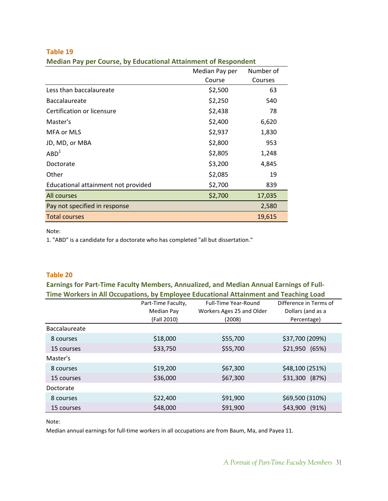|                                     | Median Pay per | Number of |
|-------------------------------------|----------------|-----------|
|                                     | Course         | Courses   |
| Less than baccalaureate             | \$2,500        | 63        |
| <b>Baccalaureate</b>                | \$2,250        | 540       |
| Certification or licensure          | \$2,438        | 78        |
| Master's                            | \$2,400        | 6,620     |
| MFA or MLS                          | \$2,937        | 1,830     |
| JD, MD, or MBA                      | \$2,800        | 953       |
| ABD <sup>1</sup>                    | \$2,805        | 1,248     |
| Doctorate                           | \$3,200        | 4,845     |
| Other                               | \$2,085        | 19        |
| Educational attainment not provided | \$2,700        | 839       |
| All courses                         | \$2,700        | 17,035    |
| Pay not specified in response       |                | 2,580     |
| <b>Total courses</b>                |                | 19,615    |

<span id="page-31-0"></span>**Median Pay per Course, by Educational Attainment of Respondent**

Note:

1. "ABD" is a candidate for a doctorate who has completed "all but dissertation."

### **Table 20**

**Earnings for Part‐Time Faculty Members, Annualized, and Median Annual Earnings of Full‐ Time Workers in All Occupations, by Employee Educational Attainment and Teaching Load**

|               | Part-Time Faculty, | <b>Full-Time Year-Round</b> | Difference in Terms of |
|---------------|--------------------|-----------------------------|------------------------|
|               | Median Pay         | Workers Ages 25 and Older   | Dollars (and as a      |
|               | (Fall 2010)        | (2008)                      | Percentage)            |
| Baccalaureate |                    |                             |                        |
| 8 courses     | \$18,000           | \$55,700                    | \$37,700 (209%)        |
| 15 courses    | \$33,750           | \$55,700                    | \$21,950 (65%)         |
| Master's      |                    |                             |                        |
| 8 courses     | \$19,200           | \$67,300                    | \$48,100 (251%)        |
| 15 courses    | \$36,000           | \$67,300                    | (87%)<br>\$31,300      |
| Doctorate     |                    |                             |                        |
| 8 courses     | \$22,400           | \$91,900                    | \$69,500 (310%)        |
| 15 courses    | \$48,000           | \$91,900                    | (91%)<br>\$43,900      |

Note:

Median annual earnings for full‐time workers in all occupations are from Baum, Ma, and Payea 11.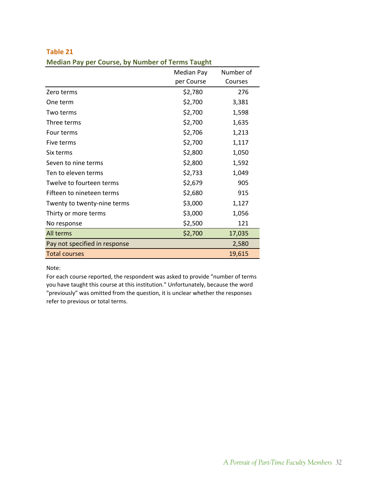|                               | Median Pay | Number of |
|-------------------------------|------------|-----------|
|                               | per Course | Courses   |
| Zero terms                    | \$2,780    | 276       |
| One term                      | \$2,700    | 3,381     |
| Two terms                     | \$2,700    | 1,598     |
| Three terms                   | \$2,700    | 1,635     |
| Four terms                    | \$2,706    | 1,213     |
| Five terms                    | \$2,700    | 1,117     |
| Six terms                     | \$2,800    | 1,050     |
| Seven to nine terms           | \$2,800    | 1,592     |
| Ten to eleven terms           | \$2,733    | 1,049     |
| Twelve to fourteen terms      | \$2,679    | 905       |
| Fifteen to nineteen terms     | \$2,680    | 915       |
| Twenty to twenty-nine terms   | \$3,000    | 1,127     |
| Thirty or more terms          | \$3,000    | 1,056     |
| No response                   | \$2,500    | 121       |
| All terms                     | \$2,700    | 17,035    |
| Pay not specified in response |            | 2,580     |
| <b>Total courses</b>          |            | 19,615    |

<span id="page-32-0"></span>

| Table 21 |                                                         |
|----------|---------------------------------------------------------|
|          | <b>Median Pay per Course, by Number of Terms Taught</b> |

### Note:

For each course reported, the respondent was asked to provide "number of terms you have taught this course at this institution." Unfortunately, because the word "previously" was omitted from the question, it is unclear whether the responses refer to previous or total terms.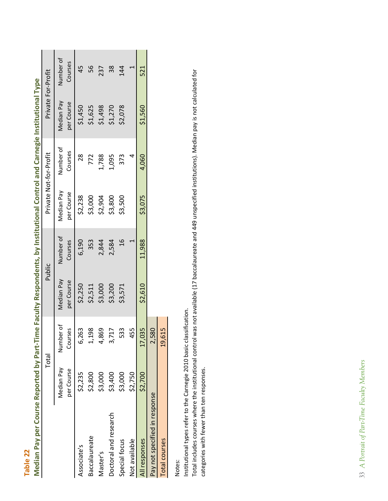| he controlled to the control of the control of the control of the control of the control of the control of the control of the control of the control of the control of the control of the control of the control of the contro |                          |                        |                                 |                      |                          |                      |                          |                      |
|--------------------------------------------------------------------------------------------------------------------------------------------------------------------------------------------------------------------------------|--------------------------|------------------------|---------------------------------|----------------------|--------------------------|----------------------|--------------------------|----------------------|
|                                                                                                                                                                                                                                | Total                    |                        | Public                          |                      | Private Not-for-Profit   |                      | Private For-Profit       |                      |
|                                                                                                                                                                                                                                | Median Pay<br>per Course | Number of<br>Courses   | <b>Median Pay</b><br>per Course | Number of<br>Courses | Median Pay<br>per Course | Number of<br>Courses | Median Pay<br>per Course | Number of<br>Courses |
| Associate's                                                                                                                                                                                                                    | \$2,235                  | 6,263                  | \$2,250                         | 6,190                | \$2,238                  | 28                   | \$1,450                  | 45                   |
| <b>Baccalaureate</b>                                                                                                                                                                                                           | \$2,800                  | 198                    | \$2,511                         | 353                  | \$3,000                  | 772                  | \$1,625                  | 56                   |
| Master's                                                                                                                                                                                                                       | \$3,000                  | 869                    | \$3,000                         | 2,844                | \$2,904                  | 1,788                | \$1,498                  | 237                  |
| Doctoral and research                                                                                                                                                                                                          | \$3,400                  | 717                    | \$3,200                         | 2,584                | \$3,800                  | 1,095                | \$1,270                  | 38                   |
| Special focus                                                                                                                                                                                                                  | \$3,000                  | 533                    | \$3,571                         | $\frac{9}{1}$        | \$3,500                  | 373                  | \$2,078                  | 14                   |
| Not available                                                                                                                                                                                                                  | \$2,750                  | 455                    |                                 |                      |                          |                      |                          |                      |
| All responses                                                                                                                                                                                                                  | \$2,700                  | ,035<br>$\overline{1}$ | \$2,610                         | 11,988               | \$3,075                  | 4,060                | \$1,560                  | 521                  |
| Pay not specified in response                                                                                                                                                                                                  |                          | ,580                   |                                 |                      |                          |                      |                          |                      |
| <b>Total courses</b>                                                                                                                                                                                                           |                          | ,615<br>$\overline{0}$ |                                 |                      |                          |                      |                          |                      |

Median Pay per Course Reported by Part-Time Faculty Respondents, by Institutional Control and Carnegie Institutional Type Median Pay per Course Reported by Part-Time Faculty Respondents, by Institutional Control and Carnegie Institutional Type 

<span id="page-33-0"></span> $\overline{\phantom{a}}$  $\mathbf{I}$ 

**Table 22**

Notes:

Institutional types refer to the Carnegie 2010 basic classification. Institutional types refer to the Carnegie 2010 basic classification.

Total includes courses where the institutional control was not available (17 baccalaureate and 449 unspecified institutions). Median pay is not calculated for Total includes courses where the institutional control was not available (17 baccalaureate and 449 unspecified institutions). Median pay is not calculated for categories with fewer than ten responses. categories with fewer than ten responses.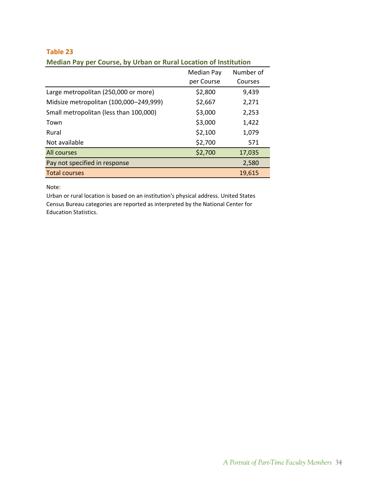|                                        | Median Pay | Number of |
|----------------------------------------|------------|-----------|
|                                        | per Course | Courses   |
| Large metropolitan (250,000 or more)   | \$2,800    | 9,439     |
| Midsize metropolitan (100,000-249,999) | \$2,667    | 2,271     |
| Small metropolitan (less than 100,000) | \$3,000    | 2,253     |
| Town                                   | \$3,000    | 1,422     |
| Rural                                  | \$2,100    | 1,079     |
| Not available                          | \$2,700    | 571       |
| All courses                            | \$2,700    | 17,035    |
| Pay not specified in response          |            | 2,580     |
| <b>Total courses</b>                   |            | 19.615    |

### <span id="page-34-0"></span>**Table 23 Median Pay per Course, by Urban or Rural Location of Institution**

Note:

Urban or rural location is based on an institution's physical address. United States Census Bureau categories are reported as interpreted by the National Center for Education Statistics.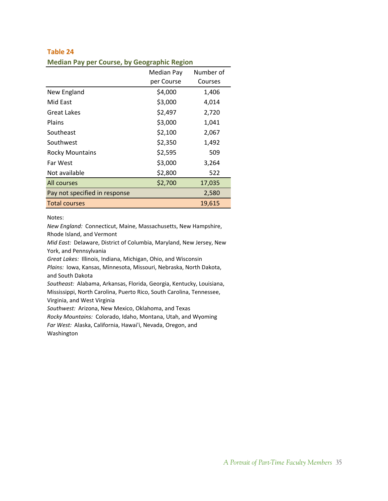### <span id="page-35-0"></span>**Table 24 Median Pay per Course, by Geographic Region**

|                               | Median Pay | Number of |
|-------------------------------|------------|-----------|
|                               | per Course | Courses   |
| New England                   | \$4,000    | 1,406     |
| Mid East                      | \$3,000    | 4,014     |
| Great Lakes                   | \$2,497    | 2,720     |
| Plains                        | \$3,000    | 1,041     |
| Southeast                     | \$2,100    | 2,067     |
| Southwest                     | \$2,350    | 1,492     |
| <b>Rocky Mountains</b>        | \$2,595    | 509       |
| Far West                      | \$3,000    | 3,264     |
| Not available                 | \$2,800    | 522       |
| All courses                   | \$2,700    | 17,035    |
| Pay not specified in response |            | 2,580     |
| <b>Total courses</b>          |            | 19,615    |

### Notes:

*New England:* Connecticut, Maine, Massachusetts, New Hampshire, Rhode Island, and Vermont

*Mid East:* Delaware, District of Columbia, Maryland, New Jersey, New York, and Pennsylvania

*Great Lakes:* Illinois, Indiana, Michigan, Ohio, and Wisconsin

*Plains:* Iowa, Kansas, Minnesota, Missouri, Nebraska, North Dakota, and South Dakota

*Southeast:* Alabama, Arkansas, Florida, Georgia, Kentucky, Louisiana, Mississippi, North Carolina, Puerto Rico, South Carolina, Tennessee, Virginia, and West Virginia

*Southwest:* Arizona, New Mexico, Oklahoma, and Texas

*Rocky Mountains:* Colorado, Idaho, Montana, Utah, and Wyoming

*Far West:* Alaska, California, Hawai'i, Nevada, Oregon, and

Washington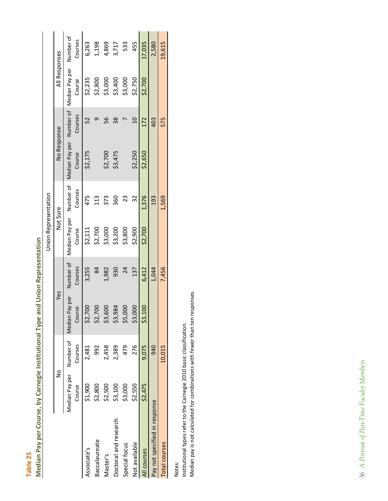| ŗ                      |
|------------------------|
| ſ<br>۱<br>i            |
| ſ<br>ı<br>í<br>C       |
| ſ<br>I<br>Ċ<br>ì<br>d  |
| J<br>Í<br>í<br>Ō       |
| ſ<br>J<br>l<br>ſ       |
| ŗ<br>í<br>ľ<br>۱       |
| ĺ<br>l<br>ı            |
| ī<br>ģ                 |
| d<br>í<br>l<br>ׇ֠֡     |
| Į<br>ſ                 |
| ť                      |
| j<br>ŗ<br>í            |
| Ó<br>۱<br>h<br>í       |
| ì                      |
| ١<br>Ģ                 |
| ¢<br>J<br>I            |
| í<br>ì<br>Ċ<br>J       |
| b<br>Ģ                 |
| í<br>ſ<br>ij<br>í      |
| ć<br>ì                 |
| ĵ<br>l<br>١            |
| į<br>ł                 |
| l<br>i<br>0<br>ŋ       |
| ì<br>¢<br>I,<br>J<br>g |
|                        |
| ć<br>ſ                 |
| ſ<br>Ó                 |
| ī.<br>Ó<br>۱           |
| Ġ<br>ź                 |
|                        |

<span id="page-36-0"></span>

|                               |                                    |         |                             |                      | <b>Union Representation</b> |                      |                                    |                 |                          |                      |
|-------------------------------|------------------------------------|---------|-----------------------------|----------------------|-----------------------------|----------------------|------------------------------------|-----------------|--------------------------|----------------------|
|                               | $\frac{1}{2}$                      |         | Yes                         |                      | Not Sure                    |                      | No Response                        |                 | All Responses            |                      |
|                               | Median Pay per Number of<br>Course | Courses | Pay per<br>Course<br>Median | Number of<br>Courses | Median Pay per<br>Course    | Number of<br>Courses | Median Pay per Number of<br>Course | Courses         | Median Pay per<br>Course | Number of<br>Courses |
| Associate's                   | \$1,900                            | 2,481   | \$2,700                     | 3,255                | \$2,111                     | 475                  | \$2,175                            | 52              | \$2,235                  | 6,263                |
| Baccalaureate                 | \$2,800                            | 992     | 200<br>52,7                 | $\overline{8}$       | \$2,700                     | 113                  |                                    | ᡡ               | \$2,800                  | 1,198                |
| Master's                      | \$2,500                            | 2,458   | \$3,600                     | 1,982                | \$3,000                     | 373                  | \$2,700                            | 56              | \$3,000                  | 4,869                |
| Doctoral and research         | \$3,100                            | 2,389   | \$3,984                     | 930                  | \$3,200                     | 360                  | \$3,475                            | 38              | \$3,400                  | 3,717                |
| Special focus                 | \$3,000                            | 479     | \$5,000                     | 24                   | \$3,800                     | 23                   |                                    |                 | \$3,000                  | 533                  |
| Not available                 | \$2,550                            | 276     | \$3,000                     | 137                  | \$2,900                     | 32                   | \$2,250                            | $\overline{10}$ | \$2,750                  | 455                  |
| All courses                   | \$2,475                            | 9.075   | 00<br>53,1                  | 6,412                | \$2,700                     | 1,376                | \$2,650                            | 172             | \$2,700                  | 17,035               |
| Pay not specified in response |                                    | 940     |                             | 1,044                |                             | 193                  |                                    | 403             |                          | 2,580                |
| <b>Total courses</b>          |                                    | 10,015  |                             | 7,456                |                             | 1,569                |                                    | 575             |                          | 19,615               |
|                               |                                    |         |                             |                      |                             |                      |                                    |                 |                          |                      |

Notes:

Institutional types refer to the Carnegie 2010 basic classification.<br>Median pay is not calculated for combinations with fewer than ten responses. Institutional types refer to the Carnegie 2010 basic classification.

Median pay is not calculated for combinations with fewer than ten responses.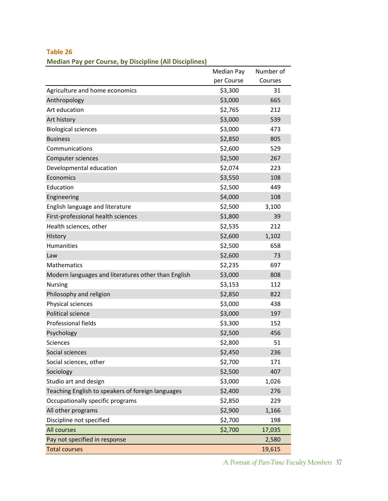|                                                     | Median Pay | Number of |
|-----------------------------------------------------|------------|-----------|
|                                                     | per Course | Courses   |
| Agriculture and home economics                      | \$3,300    | 31        |
| Anthropology                                        | \$3,000    | 665       |
| Art education                                       | \$2,765    | 212       |
| Art history                                         | \$3,000    | 539       |
| <b>Biological sciences</b>                          | \$3,000    | 473       |
| <b>Business</b>                                     | \$2,850    | 805       |
| Communications                                      | \$2,600    | 529       |
| Computer sciences                                   | \$2,500    | 267       |
| Developmental education                             | \$2,074    | 223       |
| Economics                                           | \$3,550    | 108       |
| Education                                           | \$2,500    | 449       |
| Engineering                                         | \$4,000    | 108       |
| English language and literature                     | \$2,500    | 3,100     |
| First-professional health sciences                  | \$1,800    | 39        |
| Health sciences, other                              | \$2,535    | 212       |
| History                                             | \$2,600    | 1,102     |
| <b>Humanities</b>                                   | \$2,500    | 658       |
| Law                                                 | \$2,600    | 73        |
| Mathematics                                         | \$2,235    | 697       |
| Modern languages and literatures other than English | \$3,000    | 808       |
| <b>Nursing</b>                                      | \$3,153    | 112       |
| Philosophy and religion                             | \$2,850    | 822       |
| Physical sciences                                   | \$3,000    | 438       |
| Political science                                   | \$3,000    | 197       |
| Professional fields                                 | \$3,300    | 152       |
| Psychology                                          | \$2,500    | 456       |
| <b>Sciences</b>                                     | \$2,800    | 51        |
| Social sciences                                     | \$2,450    | 236       |
| Social sciences, other                              | \$2,700    | 171       |
| Sociology                                           | \$2,500    | 407       |
| Studio art and design                               | \$3,000    | 1,026     |
| Teaching English to speakers of foreign languages   | \$2,400    | 276       |
| Occupationally specific programs                    | \$2,850    | 229       |
| All other programs                                  | \$2,900    | 1,166     |
| Discipline not specified                            | \$2,700    | 198       |
| All courses                                         | \$2,700    | 17,035    |
| Pay not specified in response                       |            | 2,580     |
| <b>Total courses</b>                                |            | 19,615    |

<span id="page-37-0"></span>**Median Pay per Course, by Discipline (All Disciplines)**

*A Portrait of Part-Time Faculty Members* 37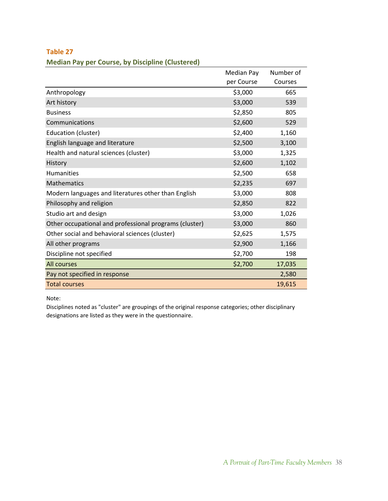|                                                        | Median Pay | Number of |
|--------------------------------------------------------|------------|-----------|
|                                                        | per Course | Courses   |
| Anthropology                                           | \$3,000    | 665       |
| Art history                                            | \$3,000    | 539       |
| <b>Business</b>                                        | \$2,850    | 805       |
| Communications                                         | \$2,600    | 529       |
| Education (cluster)                                    | \$2,400    | 1,160     |
| English language and literature                        | \$2,500    | 3,100     |
| Health and natural sciences (cluster)                  | \$3,000    | 1,325     |
| History                                                | \$2,600    | 1,102     |
| <b>Humanities</b>                                      | \$2,500    | 658       |
| <b>Mathematics</b>                                     | \$2,235    | 697       |
| Modern languages and literatures other than English    | \$3,000    | 808       |
| Philosophy and religion                                | \$2,850    | 822       |
| Studio art and design                                  | \$3,000    | 1,026     |
| Other occupational and professional programs (cluster) | \$3,000    | 860       |
| Other social and behavioral sciences (cluster)         | \$2,625    | 1,575     |
| All other programs                                     | \$2,900    | 1,166     |
| Discipline not specified                               | \$2,700    | 198       |
| All courses                                            | \$2,700    | 17,035    |
| Pay not specified in response                          |            | 2,580     |
| <b>Total courses</b>                                   |            | 19,615    |

<span id="page-38-0"></span>**Median Pay per Course, by Discipline (Clustered)**

Note:

Disciplines noted as "cluster" are groupings of the original response categories; other disciplinary designations are listed as they were in the questionnaire.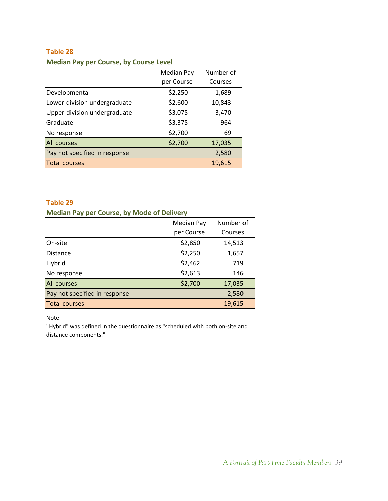### <span id="page-39-0"></span>**Median Pay per Course, by Course Level**

|                               | <b>Median Pay</b> | Number of |
|-------------------------------|-------------------|-----------|
|                               | per Course        | Courses   |
| Developmental                 | \$2,250           | 1,689     |
| Lower-division undergraduate  | \$2,600           | 10,843    |
| Upper-division undergraduate  | \$3,075           | 3,470     |
| Graduate                      | \$3,375           | 964       |
| No response                   | \$2,700           | 69        |
| All courses                   | \$2,700           | 17,035    |
| Pay not specified in response |                   | 2,580     |
| <b>Total courses</b>          |                   | 19,615    |

### **Table 29**

### **Median Pay per Course, by Mode of Delivery**

|                               | <b>Median Pay</b> | Number of |
|-------------------------------|-------------------|-----------|
|                               | per Course        | Courses   |
| On-site                       | \$2,850           | 14,513    |
| <b>Distance</b>               | \$2,250           | 1,657     |
| Hybrid                        | \$2,462           | 719       |
| No response                   | \$2,613           | 146       |
| All courses                   | \$2,700           | 17,035    |
| Pay not specified in response |                   | 2,580     |
| <b>Total courses</b>          |                   | 19,615    |

Note:

"Hybrid" was defined in the questionnaire as "scheduled with both on‐site and distance components."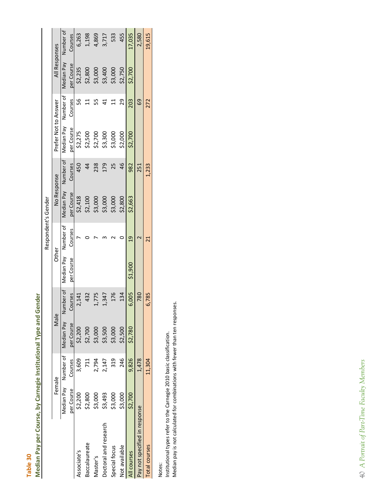| $\blacksquare$ |  |
|----------------|--|
| ľ<br>ı<br>v    |  |
| п<br>I         |  |
| ۰              |  |
| i<br>٠         |  |
| r              |  |

# Median Pay per Course, by Carnegie Institutional Type and Gender **Median Pay per Course, by Carnegie Institutional Type and Gender**

<span id="page-40-0"></span>

|                               |                      |         |            |         |                     | Respondent's Gender |             |                |                      |           |                   |           |
|-------------------------------|----------------------|---------|------------|---------|---------------------|---------------------|-------------|----------------|----------------------|-----------|-------------------|-----------|
|                               | Female               |         | Male       |         | <b>Other</b>        |                     | No Response |                | Prefer Not to Answer |           | All Responses     |           |
|                               | Median Pay Number of |         | Median Pay |         | umber of Median Pay | Number of           | Median Pay  | Number of      | Median Pay           | Number of | <b>Median Pay</b> | Number of |
|                               | per Course           | Courses | per Course | Courses | per Course          | Courses             | per Course  | Courses        | per Course           | Courses   | per Course        | Courses   |
| Associate's                   | \$2,200              | 3,609   | \$2,200    | 2,141   |                     |                     | \$2,418     | 450            | \$2,275              | 56        | \$2,235           | 6,263     |
| <b>Baccalaureate</b>          | \$2,800              | $\Xi$   | \$2,700    | 432     |                     |                     | \$2,100     | $\overline{4}$ | \$2,500              |           | \$2,800           | 1,198     |
| Master's                      | \$3,000              | 2,794   | \$3,000    | L775    |                     |                     | \$3,000     | 238            | \$2,700              | LO<br>LO  | \$3,000           | 4,869     |
| Doctoral and research         | \$3,493              | 2,147   | \$3,500    | 1,347   |                     |                     | \$3,000     | 179            | \$3,300              |           | \$3,400           | 3,717     |
| Special focus                 | \$3,000              | 319     | \$3,000    | 176     |                     |                     | \$3,000     | 25             | \$3,000              |           | \$3,000           | 533       |
| Not available                 | \$3,000              | 246     | \$2,500    | 134     |                     |                     | \$2,800     | 46             | \$2,000              | 29        | \$2,750           | 455       |
| <b>Courses</b>                | \$2,700              | 9,826   | \$2,780    | 6.005   | \$1,900             | $\overline{a}$      | \$2,663     | 982            | \$2,700              | 203       | \$2,700           | 17,035    |
| Pay not specified in response |                      | 1,478   |            | 780     |                     |                     |             | 251            |                      | G9        |                   | 2,580     |
| <b>Total courses</b>          |                      | 11,304  |            | 6,785   |                     | $\overline{21}$     |             | 1,233          |                      | 272       |                   | 19,615    |

Notes:<br>Institutional types refer to the Carnegie 2010 basic classification.<br>Median pay is not calculated for combinations with fewer than ten responses. Institutional types refer to the Carnegie 2010 basic classification. Median pay is not calculated for combinations with fewer than ten responses.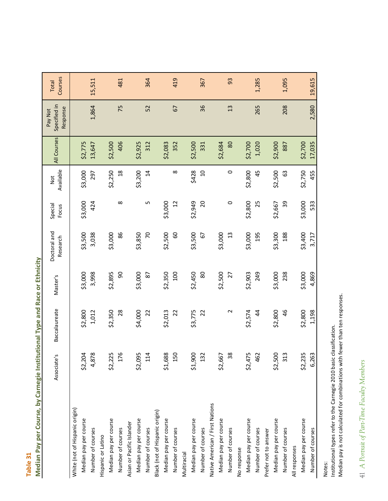<span id="page-41-0"></span>

|                                 | Associate's             | Baccalaureate | Master's | Doctoral and<br>Research | Special<br>Focus | Available<br>Not | All Courses | Specified in<br>Response<br>Pay Not | Courses<br>Total |
|---------------------------------|-------------------------|---------------|----------|--------------------------|------------------|------------------|-------------|-------------------------------------|------------------|
| White (not of Hispanic origin)  |                         |               |          |                          |                  |                  |             |                                     |                  |
| Median pay per course           | 4<br>\$2,20             | \$2,800       | \$3,000  | \$3,500                  | \$3,000          | \$3,000          | \$2,775     |                                     |                  |
| Number of courses               | $\infty$<br>4,87        | 1,012         | 3,998    | 3,038                    | 424              | 297              | 13,647      | 1,864                               | 15,511           |
| Hispanic or Latino              |                         |               |          |                          |                  |                  |             |                                     |                  |
| Median pay per course           | Г<br>\$2,22             | \$2,350       | \$2,895  | \$3,000                  |                  | \$2,250          | \$2,500     |                                     |                  |
| Number of courses               | 6<br>$\overline{17}$    | 28            | 90       | 86                       | $^{\circ}$       | $\frac{8}{18}$   | 406         | 75                                  | 481              |
| Asian or Pacific Islander       |                         |               |          |                          |                  |                  |             |                                     |                  |
| Median pay per course           | ъ<br>\$2,09             | \$4,000       | \$3,000  | \$3,850                  |                  | \$3,200          | \$2,925     |                                     |                  |
| Number of courses               | 4<br>$\Xi$              | 22            | 87       | $\overline{C}$           | S                | $\overline{1}$   | 312         | 52                                  | 364              |
| Black (not of Hispanic origin)  |                         |               |          |                          |                  |                  |             |                                     |                  |
| Median pay per course           | $^{\circ}$<br>\$1,68    | \$2,013       | \$2,350  | \$2,500                  | \$3,000          |                  | \$2,083     |                                     |                  |
| Number of courses               | $\circ$<br>15           | 22            | 100      | 60                       | $\overline{c}$   | ∞                | 352         | 67                                  | 419              |
| Multiracial                     |                         |               |          |                          |                  |                  |             |                                     |                  |
| Median pay per course           | \$1,900                 | \$3,775       | \$2,450  | \$3,500                  | \$2,949          | \$428            | \$2,500     |                                     |                  |
| Number of courses               | 2<br>13                 | 22            | 80       | 67                       | 20               | $\overline{10}$  | 331         | 36                                  | 367              |
| Native American / First Nations |                         |               |          |                          |                  |                  |             |                                     |                  |
| Median pay per course           | \$2,667                 |               | \$2,500  | \$3,000                  |                  |                  | \$2,684     |                                     |                  |
| Number of courses               | $\infty$<br>m           | $\sim$        | 27       | 13                       | 0                | $\circ$          | 80          | 13                                  | 93               |
| No response                     |                         |               |          |                          |                  |                  |             |                                     |                  |
| Median pay per course           | Б<br>\$2,47             | \$2,574       | \$2,903  | \$3,000                  | \$2,800          | \$2,800          | \$2,700     |                                     |                  |
| Number of courses               | $\sim$<br>$\frac{6}{5}$ | $\frac{4}{4}$ | 249      | 195                      | 25               | 45               | 1,020       | 265                                 | 1,285            |
| Prefer not to answer            |                         |               |          |                          |                  |                  |             |                                     |                  |
| Median pay per course           | \$2,500                 | \$2,800       | \$3,000  | \$3,300                  | \$2,667          | \$2,500          | \$2,900     |                                     |                  |
| Number of courses               | S<br>$\overline{31}$    | 46            | 238      | 188                      | 39               | යි               | 887         | 208                                 | 1,095            |
| All responses                   |                         |               |          |                          |                  |                  |             |                                     |                  |
| Median pay per course           | LN,<br>\$2,23           | \$2,800       | \$3,000  | \$3,400                  | \$3,000          | \$2,750          | \$2,700     |                                     |                  |
| Number of courses               | 6,263                   | 1,198         | 4,869    | 3,717                    | 533              | 455              | 17,035      | 2,580                               | 19,615           |

Median Pay per Course, by Carnegie Institutional Type and Race or Ethnicity **Median Pay per Course, by Carnegie Institutional Type and Race or Ethnicity Table 31**

41 A Portrait of Part-Time Faculty Members 41 *A Portrait of Part-Time Faculty Members*

Notes:

Institutional types refer to the Carnegie 2010 basic classification.

Median pay is not calculated for combinations with fewer than ten responses.

Institutional types refer to the Carnegie 2010 basic classification.<br>Median pay is not calculated for combinations with fewer than ten responses.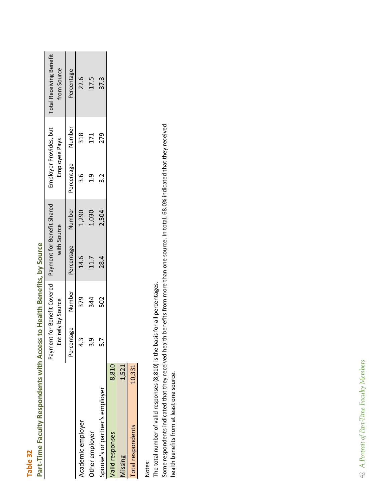| r<br>I |  |
|--------|--|
|        |  |
|        |  |
|        |  |

# Part-Time Faculty Respondents with Access to Health Benefits, by Source **Part‐Time Faculty Respondents with Access to Health Benefits, by Source**

<span id="page-42-0"></span>

|                                |        |                    |        | Payment for Benefit Covered Payment for Benefit Shared |        | Employer Provides, but |        | <b>Total Receiving Benefit</b> |
|--------------------------------|--------|--------------------|--------|--------------------------------------------------------|--------|------------------------|--------|--------------------------------|
|                                |        | Entirely by Source |        | with Source                                            |        | Employee Pays          |        | from Source                    |
|                                |        | Percentage         | Number | Percentage                                             | Number | Percentage             | Number | Percentage                     |
| Academic employer              |        | 4.3                | 379    | 14.6                                                   | 1,290  | .<br>ო                 | 318    | 22.6                           |
| Other employer                 |        | <u>ვ.</u>          | 344    | 11.7                                                   | 1,030  | ن<br>آ                 | 171    | 17.5                           |
| Spouse's or partner's employer |        | 5.7                | 502    | 28.4                                                   | 2,504  | 3.2                    | 279    | 37.3                           |
| <b>Valid responses</b>         | 8,810  |                    |        |                                                        |        |                        |        |                                |
| <b>Aissing</b>                 | 1,521  |                    |        |                                                        |        |                        |        |                                |
| Total respondents              | 10,331 |                    |        |                                                        |        |                        |        |                                |

Notes:

The total number of valid responses (8,810) is the basis for all percentages. The total number of valid responses (8,810) is the basis for all percentages.

Some respondents indicated that they received health benefits from more than one source. In total, 68.0% indicated that they received Some respondents indicated that they received health benefits from more than one source. In total, 68.0% indicated that they received health benefits from at least one source. health benefits from at least one source.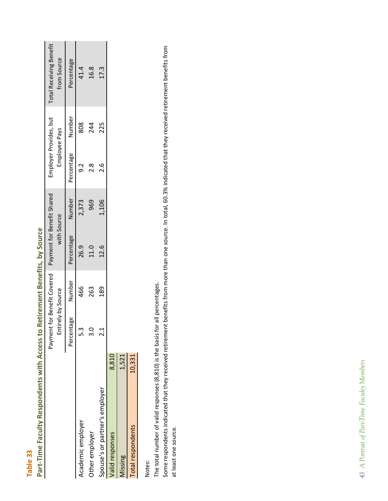| r |  |
|---|--|
|   |  |
|   |  |

| <b>urce</b><br>١<br>0<br>j<br>Ì<br>٥<br>ä                                                                                                                |
|----------------------------------------------------------------------------------------------------------------------------------------------------------|
| ŗ                                                                                                                                                        |
| 5<br>ι<br>ı<br>j<br>J<br>ś<br>ŗ<br>Ó<br>ĺ<br>J<br>ſ<br>َق<br>ŋ<br>ſ<br>ı<br>ŗ<br>ä<br>ŗ<br>J<br>Ó<br>ļ<br>Į<br>ï<br>j<br>Ó<br>i<br>ں<br>م<br>ſ<br>C<br>נ |
| j<br>b<br>í                                                                                                                                              |
| č<br>ļ<br>ı<br>j<br>j<br>¢<br>י<br>G                                                                                                                     |
| ,<br>É<br>ā                                                                                                                                              |
| i<br>F<br>j<br>h<br>d<br>3<br>j                                                                                                                          |
| Ś<br>Ċ<br>j<br>ij                                                                                                                                        |
| ī<br>ij<br>ţ<br>Ċ<br>5<br>j<br>Ģ                                                                                                                         |
| í<br>d<br>í<br>Ċ<br>1<br>ij<br>ř<br>ſ                                                                                                                    |
| ä<br>j                                                                                                                                                   |
| ٠<br>3<br>Ō<br>ı<br>ã<br>J<br>Π                                                                                                                          |
| C<br>ر<br>Í<br>í<br>j<br>I<br>I<br>J<br>ŧ<br><u>ਛੇ</u>                                                                                                   |
|                                                                                                                                                          |

<span id="page-43-0"></span>

|                                |        | Entirely by Source<br>Payment |        | t for Benefit Covered Payment for Benefit Shared<br>with Source |        | Employer Provides, but<br>Employee Pays |        | <b>Total Receiving Benefit</b><br>from Source |
|--------------------------------|--------|-------------------------------|--------|-----------------------------------------------------------------|--------|-----------------------------------------|--------|-----------------------------------------------|
|                                |        | Percentage                    | Number | Percentage                                                      | Number | Percentage                              | Number | Percentage                                    |
| Academic employer              |        | 5.3                           | 466    | 26.9                                                            | 2,373  | ດ.<br>ວ                                 | 808    | 41.4                                          |
| Other employer                 |        | $\frac{3.0}{3}$               | 263    | 11.0                                                            | 969    | 2.8                                     | 244    | 16.8                                          |
| Spouse's or partner's employer |        | $\frac{1}{2}$                 | 189    | 12.6                                                            | 1,106  | 0.6                                     | 225    | 17.3                                          |
| Valid responses                | 8,810  |                               |        |                                                                 |        |                                         |        |                                               |
| <b>Aissing</b>                 | 1,521  |                               |        |                                                                 |        |                                         |        |                                               |
| Total respondents              | 10,331 |                               |        |                                                                 |        |                                         |        |                                               |
|                                |        |                               |        |                                                                 |        |                                         |        |                                               |

Notes:

The total number of valid responses (8,810) is the basis for all percentages. The total number of valid responses (8,810) is the basis for all percentages.

Some respondents indicated that they received retirement benefits from more than one source. In total, 60.3% indicated that they received retirement benefits from Some respondents indicated that they received retirement benefits from more than one source. In total, 60.3% indicated that they received retirement benefits from at least one source. at least one source.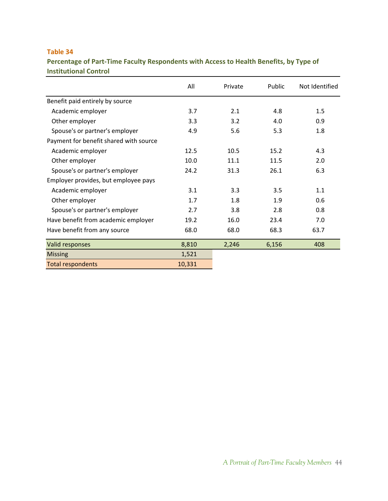<span id="page-44-0"></span>**Percentage of Part‐Time Faculty Respondents with Access to Health Benefits, by Type of Institutional Control**

|                                        | All    | Private | Public | Not Identified |
|----------------------------------------|--------|---------|--------|----------------|
| Benefit paid entirely by source        |        |         |        |                |
| Academic employer                      | 3.7    | 2.1     | 4.8    | 1.5            |
| Other employer                         | 3.3    | 3.2     | 4.0    | 0.9            |
| Spouse's or partner's employer         | 4.9    | 5.6     | 5.3    | 1.8            |
| Payment for benefit shared with source |        |         |        |                |
| Academic employer                      | 12.5   | 10.5    | 15.2   | 4.3            |
| Other employer                         | 10.0   | 11.1    | 11.5   | 2.0            |
| Spouse's or partner's employer         | 24.2   | 31.3    | 26.1   | 6.3            |
| Employer provides, but employee pays   |        |         |        |                |
| Academic employer                      | 3.1    | 3.3     | 3.5    | 1.1            |
| Other employer                         | 1.7    | 1.8     | 1.9    | 0.6            |
| Spouse's or partner's employer         | 2.7    | 3.8     | 2.8    | 0.8            |
| Have benefit from academic employer    | 19.2   | 16.0    | 23.4   | 7.0            |
| Have benefit from any source           | 68.0   | 68.0    | 68.3   | 63.7           |
| Valid responses                        | 8,810  | 2,246   | 6,156  | 408            |
| <b>Missing</b>                         | 1,521  |         |        |                |
| <b>Total respondents</b>               | 10,331 |         |        |                |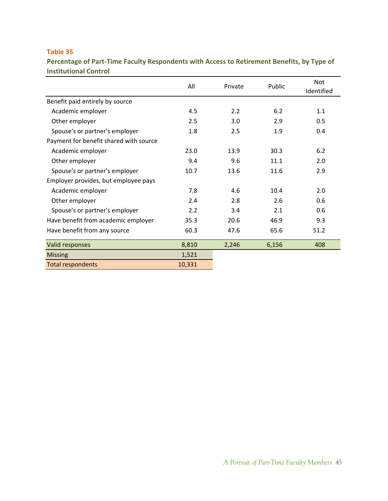<span id="page-45-0"></span>**Percentage of Part‐Time Faculty Respondents with Access to Retirement Benefits, by Type of Institutional Control**

|                                        | All    | Private | Public | <b>Not</b><br>Identified |
|----------------------------------------|--------|---------|--------|--------------------------|
| Benefit paid entirely by source        |        |         |        |                          |
| Academic employer                      | 4.5    | 2.2     | 6.2    | 1.1                      |
| Other employer                         | 2.5    | 3.0     | 2.9    | 0.5                      |
| Spouse's or partner's employer         | 1.8    | 2.5     | 1.9    | 0.4                      |
| Payment for benefit shared with source |        |         |        |                          |
| Academic employer                      | 23.0   | 13.9    | 30.3   | 6.2                      |
| Other employer                         | 9.4    | 9.6     | 11.1   | 2.0                      |
| Spouse's or partner's employer         | 10.7   | 13.6    | 11.6   | 2.9                      |
| Employer provides, but employee pays   |        |         |        |                          |
| Academic employer                      | 7.8    | 4.6     | 10.4   | 2.0                      |
| Other employer                         | 2.4    | 2.8     | 2.6    | 0.6                      |
| Spouse's or partner's employer         | 2.2    | 3.4     | 2.1    | 0.6                      |
| Have benefit from academic employer    | 35.3   | 20.6    | 46.9   | 9.3                      |
| Have benefit from any source           | 60.3   | 47.6    | 65.6   | 51.2                     |
| Valid responses                        | 8,810  | 2,246   | 6,156  | 408                      |
| <b>Missing</b>                         | 1,521  |         |        |                          |
| <b>Total respondents</b>               | 10,331 |         |        |                          |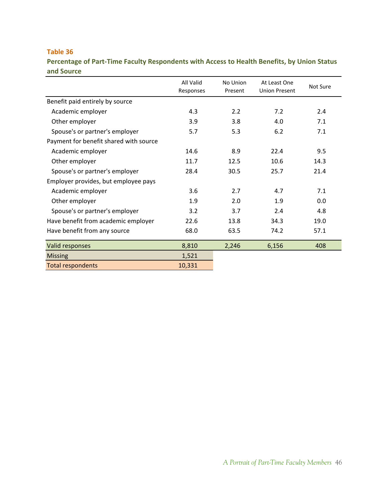<span id="page-46-0"></span>**Percentage of Part‐Time Faculty Respondents with Access to Health Benefits, by Union Status and Source**

|                                        | All Valid<br>Responses | No Union<br>Present | At Least One<br><b>Union Present</b> | Not Sure |
|----------------------------------------|------------------------|---------------------|--------------------------------------|----------|
| Benefit paid entirely by source        |                        |                     |                                      |          |
| Academic employer                      | 4.3                    | 2.2                 | 7.2                                  | 2.4      |
| Other employer                         | 3.9                    | 3.8                 | 4.0                                  | 7.1      |
| Spouse's or partner's employer         | 5.7                    | 5.3                 | 6.2                                  | 7.1      |
| Payment for benefit shared with source |                        |                     |                                      |          |
| Academic employer                      | 14.6                   | 8.9                 | 22.4                                 | 9.5      |
| Other employer                         | 11.7                   | 12.5                | 10.6                                 | 14.3     |
| Spouse's or partner's employer         | 28.4                   | 30.5                | 25.7                                 | 21.4     |
| Employer provides, but employee pays   |                        |                     |                                      |          |
| Academic employer                      | 3.6                    | 2.7                 | 4.7                                  | 7.1      |
| Other employer                         | 1.9                    | 2.0                 | 1.9                                  | 0.0      |
| Spouse's or partner's employer         | 3.2                    | 3.7                 | 2.4                                  | 4.8      |
| Have benefit from academic employer    | 22.6                   | 13.8                | 34.3                                 | 19.0     |
| Have benefit from any source           | 68.0                   | 63.5                | 74.2                                 | 57.1     |
| Valid responses                        | 8,810                  | 2,246               | 6,156                                | 408      |
| <b>Missing</b>                         | 1,521                  |                     |                                      |          |
| <b>Total respondents</b>               | 10,331                 |                     |                                      |          |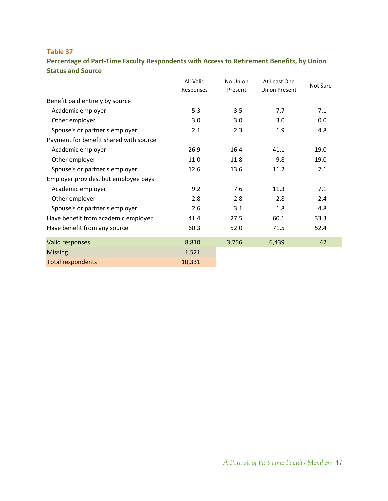<span id="page-47-0"></span>**Percentage of Part‐Time Faculty Respondents with Access to Retirement Benefits, by Union Status and Source**

|                                        | All Valid<br>Responses | No Union<br>Present | At Least One<br><b>Union Present</b> | Not Sure |
|----------------------------------------|------------------------|---------------------|--------------------------------------|----------|
| Benefit paid entirely by source        |                        |                     |                                      |          |
| Academic employer                      | 5.3                    | 3.5                 | 7.7                                  | 7.1      |
| Other employer                         | 3.0                    | 3.0                 | 3.0                                  | 0.0      |
| Spouse's or partner's employer         | 2.1                    | 2.3                 | 1.9                                  | 4.8      |
| Payment for benefit shared with source |                        |                     |                                      |          |
| Academic employer                      | 26.9                   | 16.4                | 41.1                                 | 19.0     |
| Other employer                         | 11.0                   | 11.8                | 9.8                                  | 19.0     |
| Spouse's or partner's employer         | 12.6                   | 13.6                | 11.2                                 | 7.1      |
| Employer provides, but employee pays   |                        |                     |                                      |          |
| Academic employer                      | 9.2                    | 7.6                 | 11.3                                 | 7.1      |
| Other employer                         | 2.8                    | 2.8                 | 2.8                                  | 2.4      |
| Spouse's or partner's employer         | 2.6                    | 3.1                 | 1.8                                  | 4.8      |
| Have benefit from academic employer    | 41.4                   | 27.5                | 60.1                                 | 33.3     |
| Have benefit from any source           | 60.3                   | 52.0                | 71.5                                 | 52.4     |
| <b>Valid responses</b>                 | 8,810                  | 3,756               | 6,439                                | 42       |
| <b>Missing</b>                         | 1,521                  |                     |                                      |          |
| <b>Total respondents</b>               | 10,331                 |                     |                                      |          |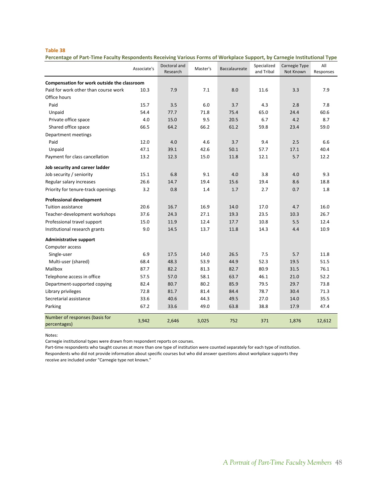<span id="page-48-0"></span>Percentage of Part-Time Faculty Respondents Receiving Various Forms of Workplace Support, by Carnegie Institutional Type

|                                                | Associate's | Doctoral and<br>Research | Master's | Baccalaureate | Specialized<br>and Tribal | Carnegie Type<br>Not Known | All<br>Responses |
|------------------------------------------------|-------------|--------------------------|----------|---------------|---------------------------|----------------------------|------------------|
| Compensation for work outside the classroom    |             |                          |          |               |                           |                            |                  |
| Paid for work other than course work           | 10.3        | 7.9                      | 7.1      | 8.0           | 11.6                      | 3.3                        | 7.9              |
| Office hours                                   |             |                          |          |               |                           |                            |                  |
| Paid                                           | 15.7        | 3.5                      | 6.0      | 3.7           | 4.3                       | 2.8                        | 7.8              |
| Unpaid                                         | 54.4        | 77.7                     | 71.8     | 75.4          | 65.0                      | 24.4                       | 60.6             |
| Private office space                           | 4.0         | 15.0                     | 9.5      | 20.5          | 6.7                       | 4.2                        | 8.7              |
| Shared office space                            | 66.5        | 64.2                     | 66.2     | 61.2          | 59.8                      | 23.4                       | 59.0             |
| Department meetings                            |             |                          |          |               |                           |                            |                  |
| Paid                                           | 12.0        | 4.0                      | 4.6      | 3.7           | 9.4                       | 2.5                        | 6.6              |
| Unpaid                                         | 47.1        | 39.1                     | 42.6     | 50.1          | 57.7                      | 17.1                       | 40.4             |
| Payment for class cancellation                 | 13.2        | 12.3                     | 15.0     | 11.8          | 12.1                      | 5.7                        | 12.2             |
| Job security and career ladder                 |             |                          |          |               |                           |                            |                  |
| Job security / seniority                       | 15.1        | 6.8                      | 9.1      | 4.0           | 3.8                       | 4.0                        | 9.3              |
| Regular salary increases                       | 26.6        | 14.7                     | 19.4     | 15.6          | 19.4                      | 8.6                        | 18.8             |
| Priority for tenure-track openings             | 3.2         | 0.8                      | 1.4      | 1.7           | 2.7                       | 0.7                        | 1.8              |
| <b>Professional development</b>                |             |                          |          |               |                           |                            |                  |
| Tuition assistance                             | 20.6        | 16.7                     | 16.9     | 14.0          | 17.0                      | 4.7                        | 16.0             |
| Teacher-development workshops                  | 37.6        | 24.3                     | 27.1     | 19.3          | 23.5                      | 10.3                       | 26.7             |
| Professional travel support                    | 15.0        | 11.9                     | 12.4     | 17.7          | 10.8                      | 5.5                        | 12.4             |
| Institutional research grants                  | 9.0         | 14.5                     | 13.7     | 11.8          | 14.3                      | 4.4                        | 10.9             |
| <b>Administrative support</b>                  |             |                          |          |               |                           |                            |                  |
| Computer access                                |             |                          |          |               |                           |                            |                  |
| Single-user                                    | 6.9         | 17.5                     | 14.0     | 26.5          | 7.5                       | 5.7                        | 11.8             |
| Multi-user (shared)                            | 68.4        | 48.3                     | 53.9     | 44.9          | 52.3                      | 19.5                       | 51.5             |
| Mailbox                                        | 87.7        | 82.2                     | 81.3     | 82.7          | 80.9                      | 31.5                       | 76.1             |
| Telephone access in office                     | 57.5        | 57.0                     | 58.1     | 63.7          | 46.1                      | 21.0                       | 52.2             |
| Department-supported copying                   | 82.4        | 80.7                     | 80.2     | 85.9          | 79.5                      | 29.7                       | 73.8             |
| Library privileges                             | 72.8        | 81.7                     | 81.4     | 84.4          | 78.7                      | 30.4                       | 71.3             |
| Secretarial assistance                         | 33.6        | 40.6                     | 44.3     | 49.5          | 27.0                      | 14.0                       | 35.5             |
| Parking                                        | 67.2        | 33.6                     | 49.0     | 63.8          | 38.8                      | 17.9                       | 47.4             |
| Number of responses (basis for<br>percentages) | 3,942       | 2,646                    | 3,025    | 752           | 371                       | 1,876                      | 12,612           |

Notes:

Carnegie institutional types were drawn from respondent reports on courses.

Part-time respondents who taught courses at more than one type of institution were counted separately for each type of institution. Respondents who did not provide information about specific courses but who did answer questions about workplace supports they receive are included under "Carnegie type not known."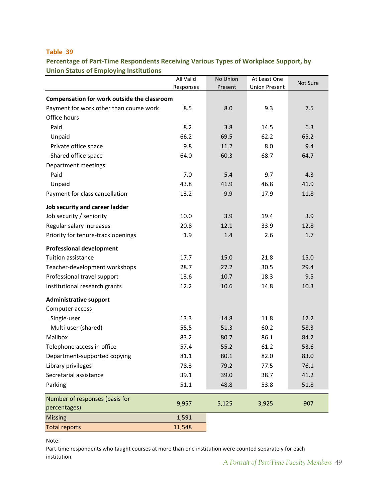<span id="page-49-0"></span>**Percentage of Part‐Time Respondents Receiving Various Types of Workplace Support, by Union Status of Employing Institutions**

|                                             | All Valid | No Union | At Least One         | Not Sure |
|---------------------------------------------|-----------|----------|----------------------|----------|
|                                             | Responses | Present  | <b>Union Present</b> |          |
| Compensation for work outside the classroom |           |          |                      |          |
| Payment for work other than course work     | 8.5       | 8.0      | 9.3                  | 7.5      |
| Office hours                                |           |          |                      |          |
| Paid                                        | 8.2       | 3.8      | 14.5                 | 6.3      |
| Unpaid                                      | 66.2      | 69.5     | 62.2                 | 65.2     |
| Private office space                        | 9.8       | 11.2     | 8.0                  | 9.4      |
| Shared office space                         | 64.0      | 60.3     | 68.7                 | 64.7     |
| Department meetings                         |           |          |                      |          |
| Paid                                        | 7.0       | 5.4      | 9.7                  | 4.3      |
| Unpaid                                      | 43.8      | 41.9     | 46.8                 | 41.9     |
| Payment for class cancellation              | 13.2      | 9.9      | 17.9                 | 11.8     |
| Job security and career ladder              |           |          |                      |          |
| Job security / seniority                    | 10.0      | 3.9      | 19.4                 | 3.9      |
| Regular salary increases                    | 20.8      | 12.1     | 33.9                 | 12.8     |
| Priority for tenure-track openings          | 1.9       | 1.4      | 2.6                  | 1.7      |
| <b>Professional development</b>             |           |          |                      |          |
| <b>Tuition assistance</b>                   | 17.7      | 15.0     | 21.8                 | 15.0     |
| Teacher-development workshops               | 28.7      | 27.2     | 30.5                 | 29.4     |
| Professional travel support                 | 13.6      | 10.7     | 18.3                 | 9.5      |
| Institutional research grants               | 12.2      | 10.6     | 14.8                 | 10.3     |
| <b>Administrative support</b>               |           |          |                      |          |
| Computer access                             |           |          |                      |          |
| Single-user                                 | 13.3      | 14.8     | 11.8                 | 12.2     |
| Multi-user (shared)                         | 55.5      | 51.3     | 60.2                 | 58.3     |
| Mailbox                                     | 83.2      | 80.7     | 86.1                 | 84.2     |
| Telephone access in office                  | 57.4      | 55.2     | 61.2                 | 53.6     |
| Department-supported copying                | 81.1      | 80.1     | 82.0                 | 83.0     |
| Library privileges                          | 78.3      | 79.2     | 77.5                 | 76.1     |
| Secretarial assistance                      | 39.1      | 39.0     | 38.7                 | 41.2     |
| Parking                                     | 51.1      | 48.8     | 53.8                 | 51.8     |
| Number of responses (basis for              | 9,957     | 5,125    |                      | 907      |
| percentages)                                |           |          | 3,925                |          |
| <b>Missing</b>                              | 1,591     |          |                      |          |
| <b>Total reports</b>                        | 11,548    |          |                      |          |

Note:

Part-time respondents who taught courses at more than one institution were counted separately for each institution.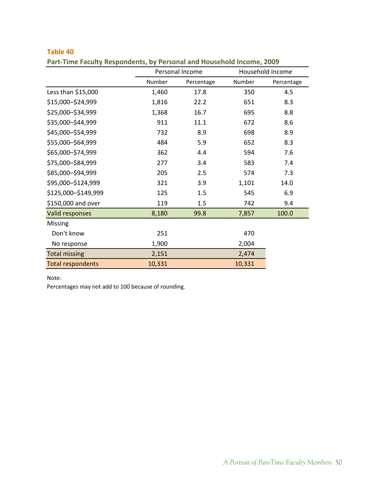|                          |        | Personal Income |        | Household Income |
|--------------------------|--------|-----------------|--------|------------------|
|                          | Number | Percentage      | Number | Percentage       |
| Less than \$15,000       | 1,460  | 17.8            | 350    | 4.5              |
| \$15,000-\$24,999        | 1,816  | 22.2            | 651    | 8.3              |
| \$25,000-\$34,999        | 1,368  | 16.7            | 695    | 8.8              |
| \$35,000-\$44,999        | 911    | 11.1            | 672    | 8.6              |
| \$45,000-\$54,999        | 732    | 8.9             | 698    | 8.9              |
| \$55,000-\$64,999        | 484    | 5.9             | 652    | 8.3              |
| \$65,000-\$74,999        | 362    | 4.4             | 594    | 7.6              |
| \$75,000-\$84,999        | 277    | 3.4             | 583    | 7.4              |
| \$85,000-\$94,999        | 205    | 2.5             | 574    | 7.3              |
| \$95,000-\$124,999       | 321    | 3.9             | 1,101  | 14.0             |
| \$125,000-\$149,999      | 125    | 1.5             | 545    | 6.9              |
| \$150,000 and over       | 119    | 1.5             | 742    | 9.4              |
| Valid responses          | 8,180  | 99.8            | 7,857  | 100.0            |
| Missing                  |        |                 |        |                  |
| Don't know               | 251    |                 | 470    |                  |
| No response              | 1,900  |                 | 2,004  |                  |
| <b>Total missing</b>     | 2,151  |                 | 2,474  |                  |
| <b>Total respondents</b> | 10,331 |                 | 10,331 |                  |

### <span id="page-50-0"></span>**Table 40 Part‐Time Faculty Respondents, by Personal and Household Income, 2009**

### Note:

Percentages may not add to 100 because of rounding.